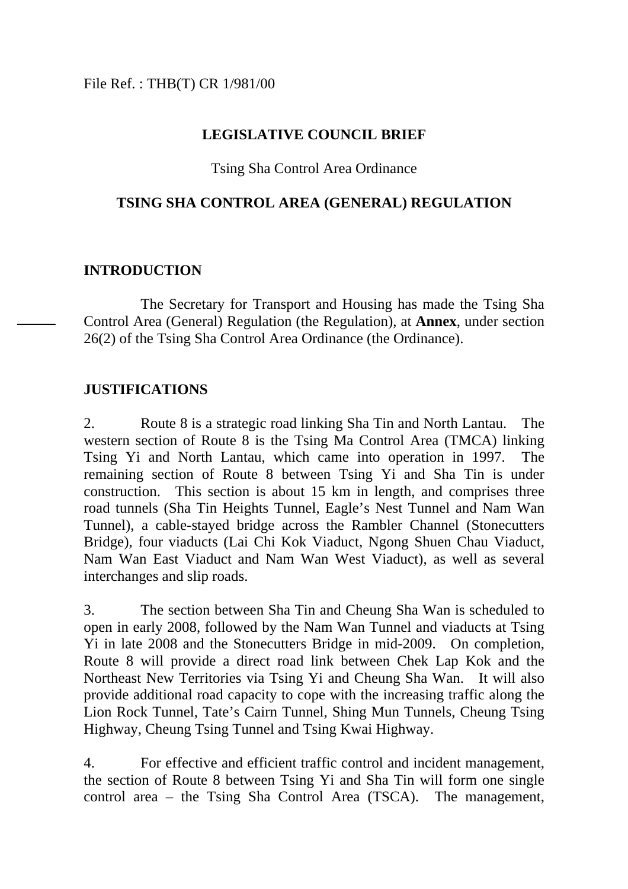# **LEGISLATIVE COUNCIL BRIEF**

# Tsing Sha Control Area Ordinance

#### **TSING SHA CONTROL AREA (GENERAL) REGULATION**

# **INTRODUCTION**

The Secretary for Transport and Housing has made the Tsing Sha Control Area (General) Regulation (the Regulation), at **Annex**, under section 26(2) of the Tsing Sha Control Area Ordinance (the Ordinance).

#### **JUSTIFICATIONS**

2. Route 8 is a strategic road linking Sha Tin and North Lantau. The western section of Route 8 is the Tsing Ma Control Area (TMCA) linking Tsing Yi and North Lantau, which came into operation in 1997. The remaining section of Route 8 between Tsing Yi and Sha Tin is under construction. This section is about 15 km in length, and comprises three road tunnels (Sha Tin Heights Tunnel, Eagle's Nest Tunnel and Nam Wan Tunnel), a cable-stayed bridge across the Rambler Channel (Stonecutters Bridge), four viaducts (Lai Chi Kok Viaduct, Ngong Shuen Chau Viaduct, Nam Wan East Viaduct and Nam Wan West Viaduct), as well as several interchanges and slip roads.

3. The section between Sha Tin and Cheung Sha Wan is scheduled to open in early 2008, followed by the Nam Wan Tunnel and viaducts at Tsing Yi in late 2008 and the Stonecutters Bridge in mid-2009. On completion, Route 8 will provide a direct road link between Chek Lap Kok and the Northeast New Territories via Tsing Yi and Cheung Sha Wan. It will also provide additional road capacity to cope with the increasing traffic along the Lion Rock Tunnel, Tate's Cairn Tunnel, Shing Mun Tunnels, Cheung Tsing Highway, Cheung Tsing Tunnel and Tsing Kwai Highway.

4. For effective and efficient traffic control and incident management, the section of Route 8 between Tsing Yi and Sha Tin will form one single control area – the Tsing Sha Control Area (TSCA). The management,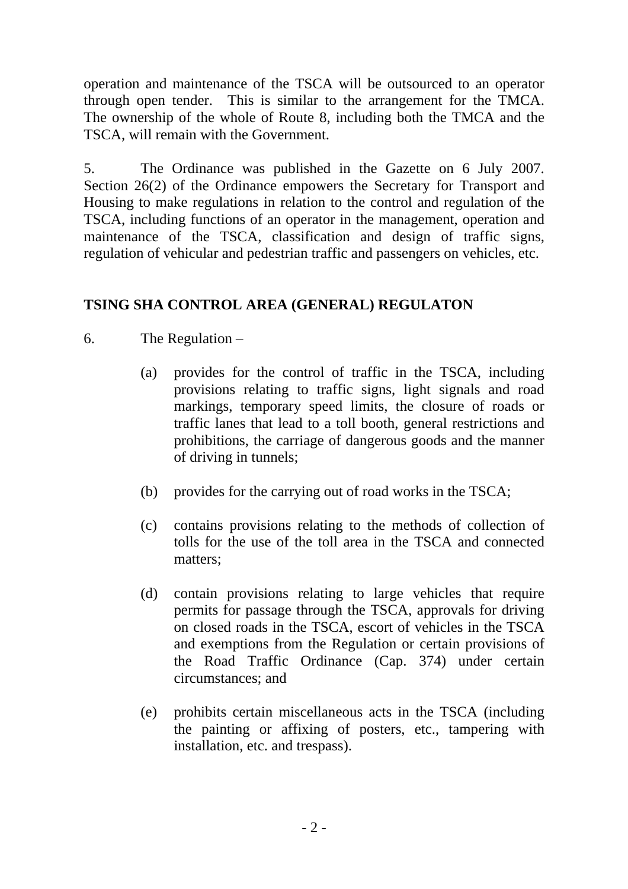operation and maintenance of the TSCA will be outsourced to an operator through open tender. This is similar to the arrangement for the TMCA. The ownership of the whole of Route 8, including both the TMCA and the TSCA, will remain with the Government.

5. The Ordinance was published in the Gazette on 6 July 2007. Section 26(2) of the Ordinance empowers the Secretary for Transport and Housing to make regulations in relation to the control and regulation of the TSCA, including functions of an operator in the management, operation and maintenance of the TSCA, classification and design of traffic signs, regulation of vehicular and pedestrian traffic and passengers on vehicles, etc.

# **TSING SHA CONTROL AREA (GENERAL) REGULATON**

- 6. The Regulation
	- (a) provides for the control of traffic in the TSCA, including provisions relating to traffic signs, light signals and road markings, temporary speed limits, the closure of roads or traffic lanes that lead to a toll booth, general restrictions and prohibitions, the carriage of dangerous goods and the manner of driving in tunnels;
	- (b) provides for the carrying out of road works in the TSCA;
	- (c) contains provisions relating to the methods of collection of tolls for the use of the toll area in the TSCA and connected matters;
	- (d) contain provisions relating to large vehicles that require permits for passage through the TSCA, approvals for driving on closed roads in the TSCA, escort of vehicles in the TSCA and exemptions from the Regulation or certain provisions of the Road Traffic Ordinance (Cap. 374) under certain circumstances; and
	- (e) prohibits certain miscellaneous acts in the TSCA (including the painting or affixing of posters, etc., tampering with installation, etc. and trespass).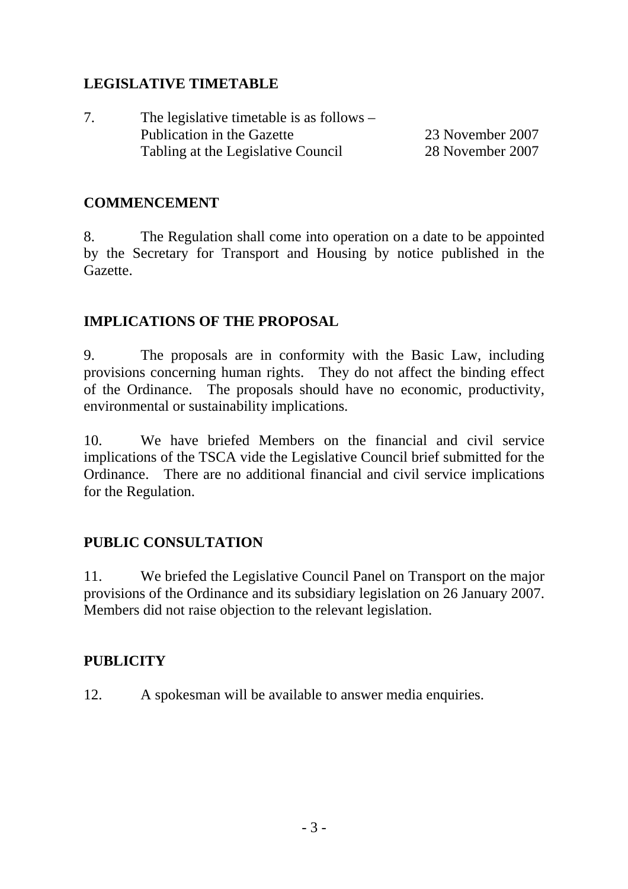# **LEGISLATIVE TIMETABLE**

| 7. | The legislative timetable is as follows $-$ |                  |
|----|---------------------------------------------|------------------|
|    | Publication in the Gazette                  | 23 November 2007 |
|    | Tabling at the Legislative Council          | 28 November 2007 |

# **COMMENCEMENT**

8. The Regulation shall come into operation on a date to be appointed by the Secretary for Transport and Housing by notice published in the Gazette.

# **IMPLICATIONS OF THE PROPOSAL**

9. The proposals are in conformity with the Basic Law, including provisions concerning human rights. They do not affect the binding effect of the Ordinance. The proposals should have no economic, productivity, environmental or sustainability implications.

10. We have briefed Members on the financial and civil service implications of the TSCA vide the Legislative Council brief submitted for the Ordinance. There are no additional financial and civil service implications for the Regulation.

# **PUBLIC CONSULTATION**

11. We briefed the Legislative Council Panel on Transport on the major provisions of the Ordinance and its subsidiary legislation on 26 January 2007. Members did not raise objection to the relevant legislation.

# **PUBLICITY**

12. A spokesman will be available to answer media enquiries.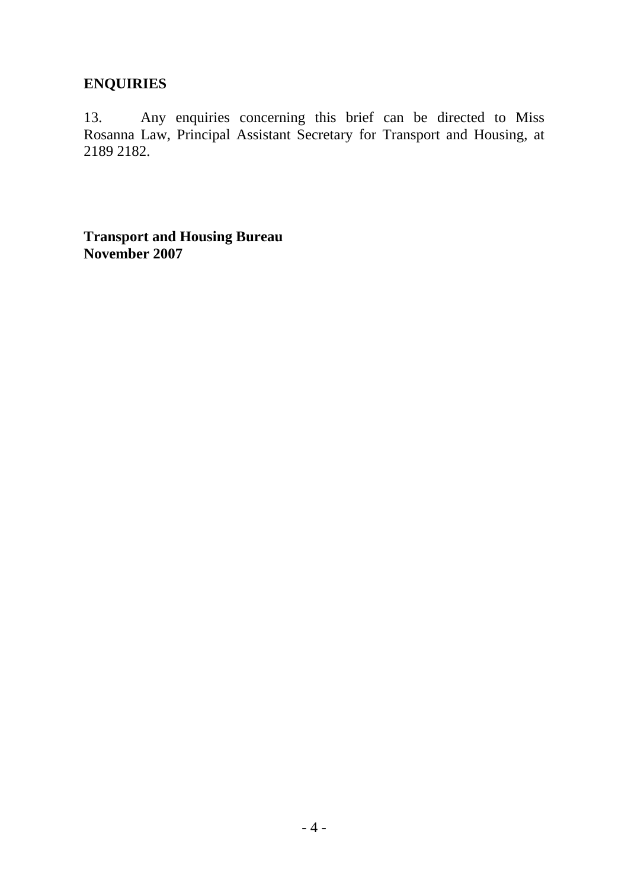# **ENQUIRIES**

13. Any enquiries concerning this brief can be directed to Miss Rosanna Law, Principal Assistant Secretary for Transport and Housing, at 2189 2182.

**Transport and Housing Bureau November 2007**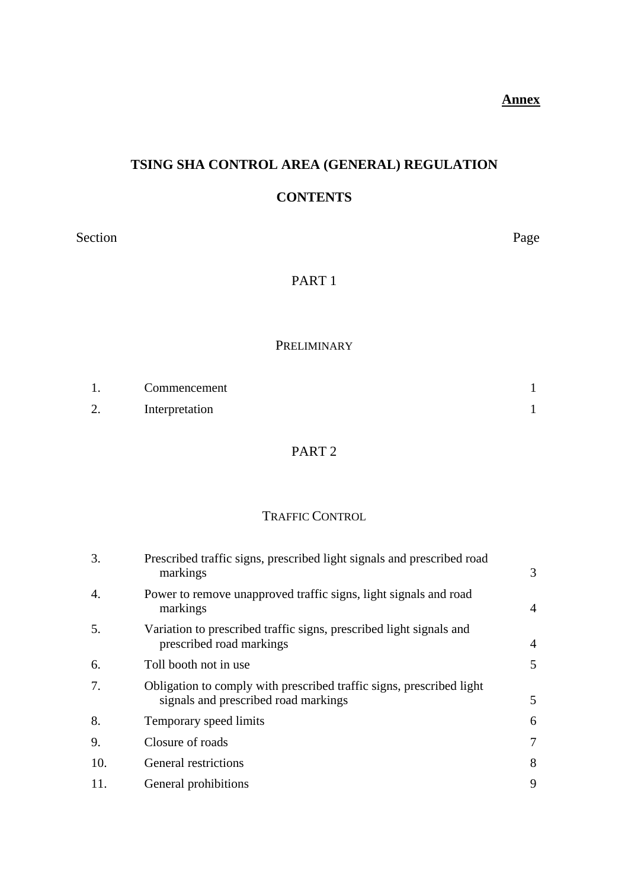# **TSING SHA CONTROL AREA (GENERAL) REGULATION**

#### **CONTENTS**

Section Page

# PART 1

#### PRELIMINARY

|        | Commencement   |  |
|--------|----------------|--|
| $\sim$ | Interpretation |  |

# PART 2

#### TRAFFIC CONTROL

| Prescribed traffic signs, prescribed light signals and prescribed road<br>markings                           | 3 |
|--------------------------------------------------------------------------------------------------------------|---|
| Power to remove unapproved traffic signs, light signals and road<br>markings                                 | 4 |
| Variation to prescribed traffic signs, prescribed light signals and<br>prescribed road markings              | 4 |
| Toll booth not in use                                                                                        | 5 |
| Obligation to comply with prescribed traffic signs, prescribed light<br>signals and prescribed road markings | 5 |
| Temporary speed limits                                                                                       | 6 |
| Closure of roads                                                                                             | 7 |
| General restrictions                                                                                         | 8 |
| General prohibitions                                                                                         | 9 |
|                                                                                                              |   |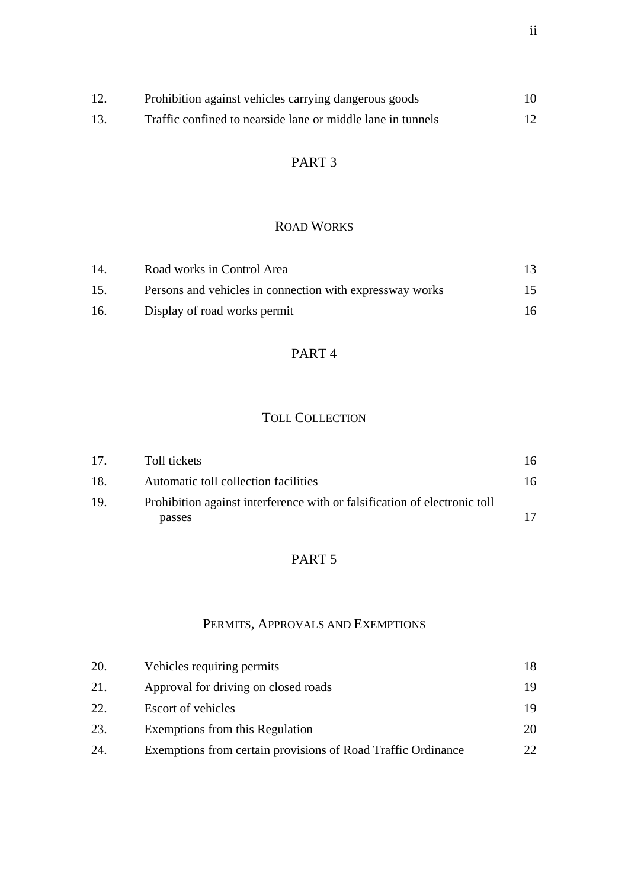| 12. | Prohibition against vehicles carrying dangerous goods       | 10 |
|-----|-------------------------------------------------------------|----|
| 13. | Traffic confined to nearside lane or middle lane in tunnels |    |

# PART 3

#### ROAD WORKS

| 14  | Road works in Control Area                                |    |
|-----|-----------------------------------------------------------|----|
| 15. | Persons and vehicles in connection with express way works | 15 |
| 16. | Display of road works permit                              | 16 |

# PART 4

# TOLL COLLECTION

| 17. | Toll tickets                                                              | 16. |
|-----|---------------------------------------------------------------------------|-----|
| 18. | Automatic toll collection facilities                                      | 16  |
| 19. | Prohibition against interference with or falsification of electronic toll |     |
|     | passes                                                                    |     |

# PART 5

# PERMITS, APPROVALS AND EXEMPTIONS

| 20. | Vehicles requiring permits                                   |     |
|-----|--------------------------------------------------------------|-----|
| 21. | Approval for driving on closed roads                         | 19  |
| 22. | <b>Escort of vehicles</b>                                    | 19  |
| 23. | Exemptions from this Regulation                              | 20  |
| 24. | Exemptions from certain provisions of Road Traffic Ordinance | 22. |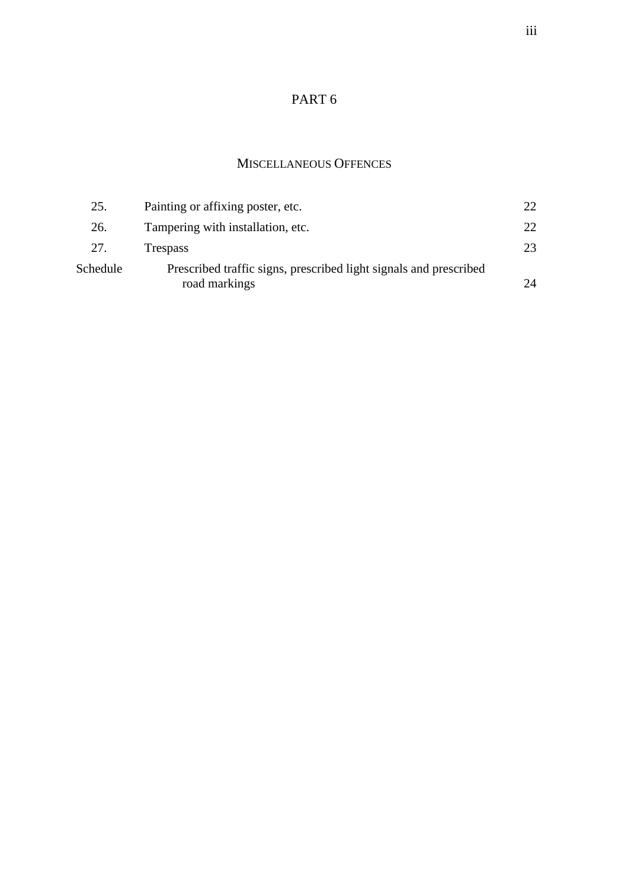# PART 6

#### MISCELLANEOUS OFFENCES

| 25.      | Painting or affixing poster, etc.                                                  | 22.          |
|----------|------------------------------------------------------------------------------------|--------------|
| 26.      | Tampering with installation, etc.                                                  | $22^{\circ}$ |
| 27.      | <b>Trespass</b>                                                                    |              |
| Schedule | Prescribed traffic signs, prescribed light signals and prescribed<br>road markings | 24           |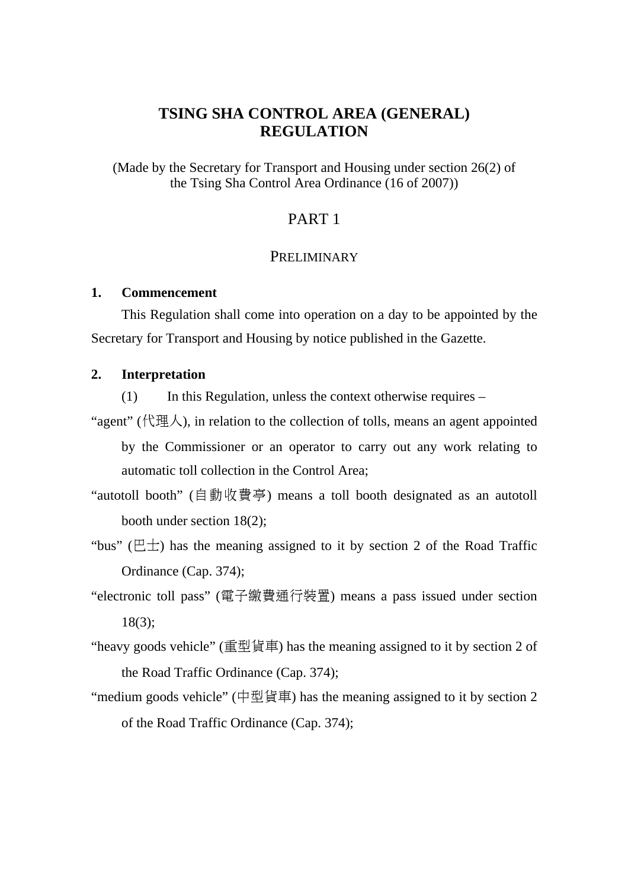# **TSING SHA CONTROL AREA (GENERAL) REGULATION**

(Made by the Secretary for Transport and Housing under section 26(2) of the Tsing Sha Control Area Ordinance (16 of 2007))

#### PART 1

#### **PRELIMINARY**

#### **1. Commencement**

This Regulation shall come into operation on a day to be appointed by the Secretary for Transport and Housing by notice published in the Gazette.

#### **2. Interpretation**

(1) In this Regulation, unless the context otherwise requires –

"agent" ( $\angle$ ), in relation to the collection of tolls, means an agent appointed

by the Commissioner or an operator to carry out any work relating to automatic toll collection in the Control Area;

- "autotoll booth" (自動收費亭) means a toll booth designated as an autotoll booth under section 18(2);
- "bus" ( $E \pm$ ) has the meaning assigned to it by section 2 of the Road Traffic Ordinance (Cap. 374);
- "electronic toll pass" (電子繳費通行裝置) means a pass issued under section 18(3);
- "heavy goods vehicle" (重型貨車) has the meaning assigned to it by section 2 of the Road Traffic Ordinance (Cap. 374);
- "medium goods vehicle" (中型貨車) has the meaning assigned to it by section 2 of the Road Traffic Ordinance (Cap. 374);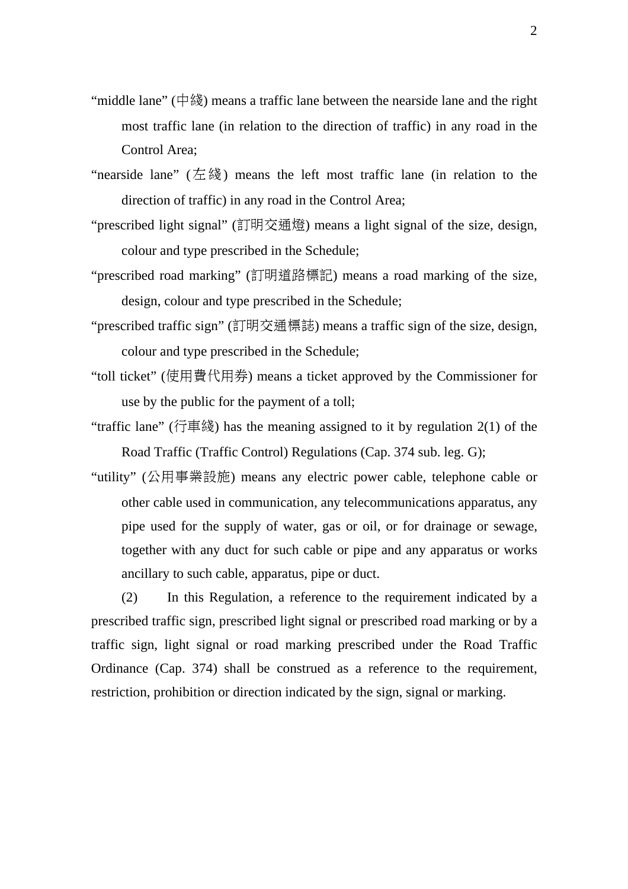- "middle lane" (中綫) means a traffic lane between the nearside lane and the right most traffic lane (in relation to the direction of traffic) in any road in the Control Area;
- "nearside lane" (左綫) means the left most traffic lane (in relation to the direction of traffic) in any road in the Control Area;
- "prescribed light signal" (訂明交通燈) means a light signal of the size, design, colour and type prescribed in the Schedule;
- "prescribed road marking" (訂明道路標記) means a road marking of the size, design, colour and type prescribed in the Schedule;
- "prescribed traffic sign" (訂明交通標誌) means a traffic sign of the size, design, colour and type prescribed in the Schedule;
- "toll ticket" (使用費代用券) means a ticket approved by the Commissioner for use by the public for the payment of a toll;
- "traffic lane" (行車綫) has the meaning assigned to it by regulation 2(1) of the Road Traffic (Traffic Control) Regulations (Cap. 374 sub. leg. G);
- "utility" (公用事業設施) means any electric power cable, telephone cable or other cable used in communication, any telecommunications apparatus, any pipe used for the supply of water, gas or oil, or for drainage or sewage, together with any duct for such cable or pipe and any apparatus or works ancillary to such cable, apparatus, pipe or duct.

(2) In this Regulation, a reference to the requirement indicated by a prescribed traffic sign, prescribed light signal or prescribed road marking or by a traffic sign, light signal or road marking prescribed under the Road Traffic Ordinance (Cap. 374) shall be construed as a reference to the requirement, restriction, prohibition or direction indicated by the sign, signal or marking.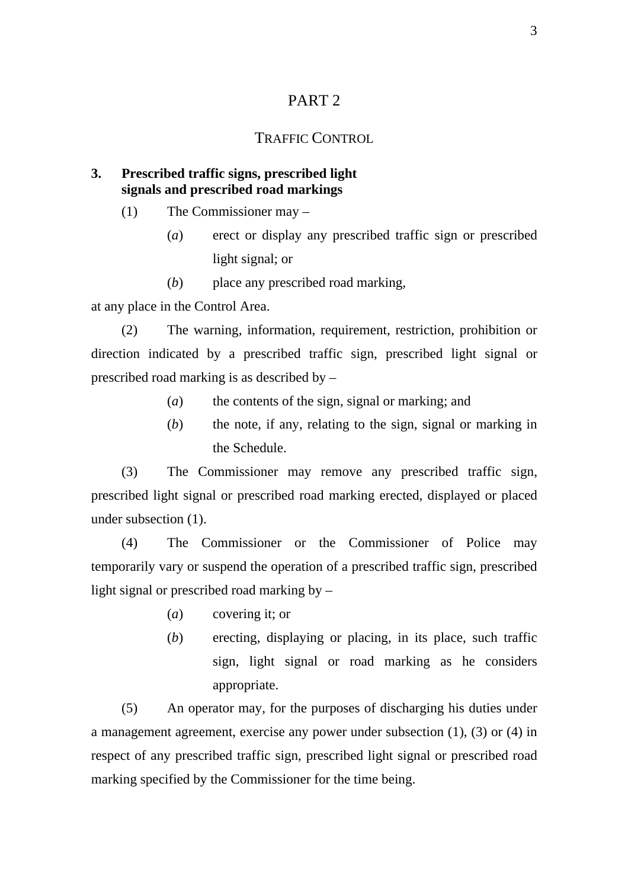# PART 2

#### TRAFFIC CONTROL

#### **3. Prescribed traffic signs, prescribed light signals and prescribed road markings**

- (1) The Commissioner may
	- (*a*) erect or display any prescribed traffic sign or prescribed light signal; or
	- (*b*) place any prescribed road marking,

at any place in the Control Area.

(2) The warning, information, requirement, restriction, prohibition or direction indicated by a prescribed traffic sign, prescribed light signal or prescribed road marking is as described by –

- (*a*) the contents of the sign, signal or marking; and
- (*b*) the note, if any, relating to the sign, signal or marking in the Schedule.

(3) The Commissioner may remove any prescribed traffic sign, prescribed light signal or prescribed road marking erected, displayed or placed under subsection (1).

(4) The Commissioner or the Commissioner of Police may temporarily vary or suspend the operation of a prescribed traffic sign, prescribed light signal or prescribed road marking by –

- (*a*) covering it; or
- (*b*) erecting, displaying or placing, in its place, such traffic sign, light signal or road marking as he considers appropriate.

(5) An operator may, for the purposes of discharging his duties under a management agreement, exercise any power under subsection (1), (3) or (4) in respect of any prescribed traffic sign, prescribed light signal or prescribed road marking specified by the Commissioner for the time being.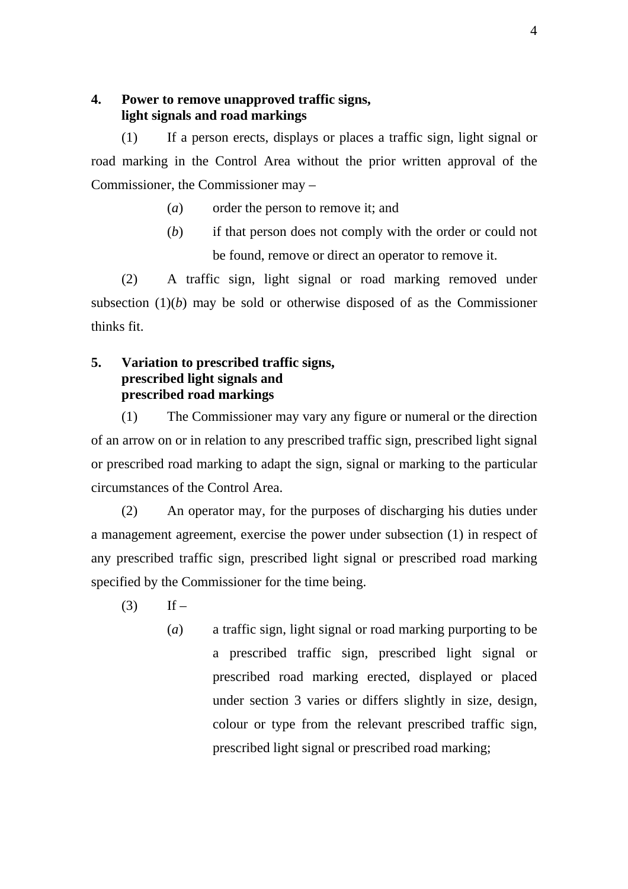#### **4. Power to remove unapproved traffic signs, light signals and road markings**

(1) If a person erects, displays or places a traffic sign, light signal or road marking in the Control Area without the prior written approval of the Commissioner, the Commissioner may –

- (*a*) order the person to remove it; and
- (*b*) if that person does not comply with the order or could not be found, remove or direct an operator to remove it.

(2) A traffic sign, light signal or road marking removed under subsection (1)(*b*) may be sold or otherwise disposed of as the Commissioner thinks fit.

#### **5. Variation to prescribed traffic signs, prescribed light signals and prescribed road markings**

(1) The Commissioner may vary any figure or numeral or the direction of an arrow on or in relation to any prescribed traffic sign, prescribed light signal or prescribed road marking to adapt the sign, signal or marking to the particular circumstances of the Control Area.

(2) An operator may, for the purposes of discharging his duties under a management agreement, exercise the power under subsection (1) in respect of any prescribed traffic sign, prescribed light signal or prescribed road marking specified by the Commissioner for the time being.

- $(3)$  If
	- (*a*) a traffic sign, light signal or road marking purporting to be a prescribed traffic sign, prescribed light signal or prescribed road marking erected, displayed or placed under section 3 varies or differs slightly in size, design, colour or type from the relevant prescribed traffic sign, prescribed light signal or prescribed road marking;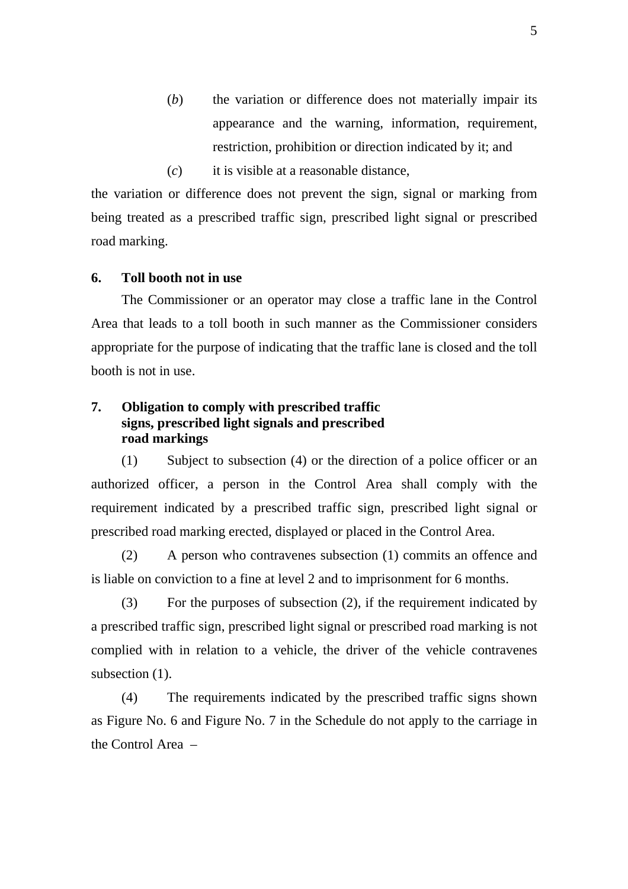- (*b*) the variation or difference does not materially impair its appearance and the warning, information, requirement, restriction, prohibition or direction indicated by it; and
- (*c*) it is visible at a reasonable distance,

the variation or difference does not prevent the sign, signal or marking from being treated as a prescribed traffic sign, prescribed light signal or prescribed road marking.

#### **6. Toll booth not in use**

The Commissioner or an operator may close a traffic lane in the Control Area that leads to a toll booth in such manner as the Commissioner considers appropriate for the purpose of indicating that the traffic lane is closed and the toll booth is not in use.

#### **7. Obligation to comply with prescribed traffic signs, prescribed light signals and prescribed road markings**

(1) Subject to subsection (4) or the direction of a police officer or an authorized officer, a person in the Control Area shall comply with the requirement indicated by a prescribed traffic sign, prescribed light signal or prescribed road marking erected, displayed or placed in the Control Area.

(2) A person who contravenes subsection (1) commits an offence and is liable on conviction to a fine at level 2 and to imprisonment for 6 months.

(3) For the purposes of subsection (2), if the requirement indicated by a prescribed traffic sign, prescribed light signal or prescribed road marking is not complied with in relation to a vehicle, the driver of the vehicle contravenes subsection  $(1)$ .

(4) The requirements indicated by the prescribed traffic signs shown as Figure No. 6 and Figure No. 7 in the Schedule do not apply to the carriage in the Control Area –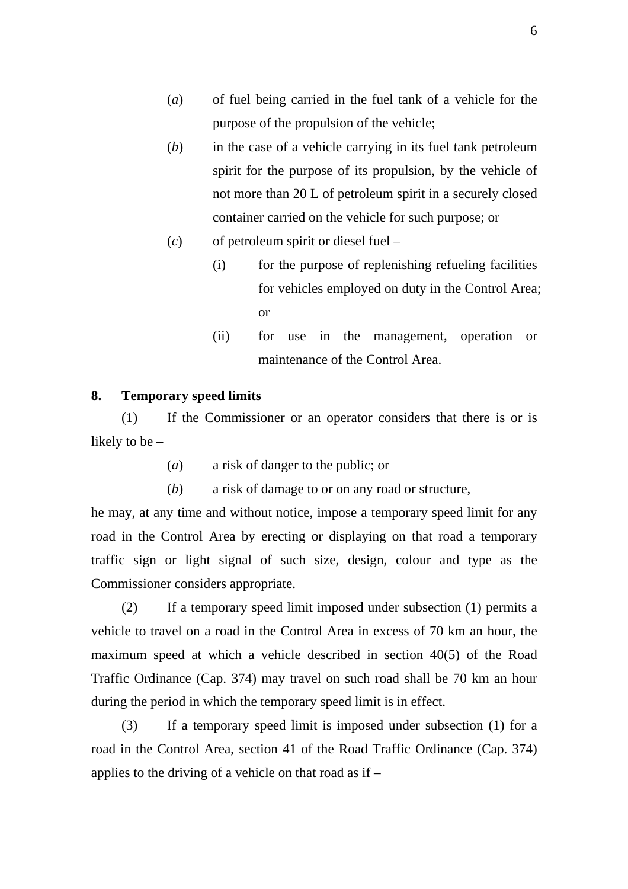- (*a*) of fuel being carried in the fuel tank of a vehicle for the purpose of the propulsion of the vehicle;
- (*b*) in the case of a vehicle carrying in its fuel tank petroleum spirit for the purpose of its propulsion, by the vehicle of not more than 20 L of petroleum spirit in a securely closed container carried on the vehicle for such purpose; or
- (*c*) of petroleum spirit or diesel fuel
	- (i) for the purpose of replenishing refueling facilities for vehicles employed on duty in the Control Area; or
	- (ii) for use in the management, operation or maintenance of the Control Area.

#### **8. Temporary speed limits**

(1) If the Commissioner or an operator considers that there is or is likely to be –

- (*a*) a risk of danger to the public; or
- (*b*) a risk of damage to or on any road or structure,

he may, at any time and without notice, impose a temporary speed limit for any road in the Control Area by erecting or displaying on that road a temporary traffic sign or light signal of such size, design, colour and type as the Commissioner considers appropriate.

(2) If a temporary speed limit imposed under subsection (1) permits a vehicle to travel on a road in the Control Area in excess of 70 km an hour, the maximum speed at which a vehicle described in section 40(5) of the Road Traffic Ordinance (Cap. 374) may travel on such road shall be 70 km an hour during the period in which the temporary speed limit is in effect.

(3) If a temporary speed limit is imposed under subsection (1) for a road in the Control Area, section 41 of the Road Traffic Ordinance (Cap. 374) applies to the driving of a vehicle on that road as if –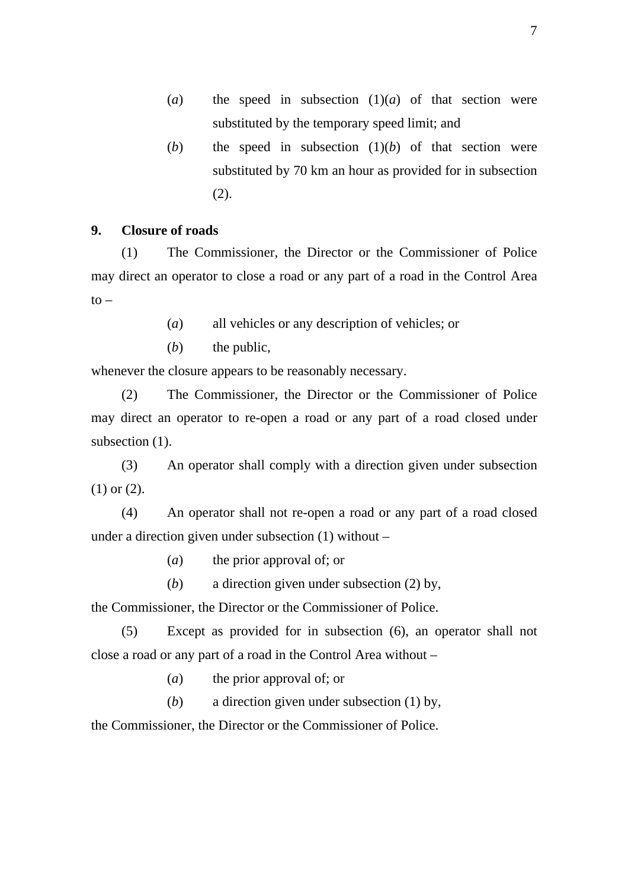- (*a*) the speed in subsection  $(1)(a)$  of that section were substituted by the temporary speed limit; and
- (*b*) the speed in subsection  $(1)(b)$  of that section were substituted by 70 km an hour as provided for in subsection (2).

#### **9. Closure of roads**

(1) The Commissioner, the Director or the Commissioner of Police may direct an operator to close a road or any part of a road in the Control Area  $\mathsf{to}$ 

- (*a*) all vehicles or any description of vehicles; or
- (*b*) the public,

whenever the closure appears to be reasonably necessary.

(2) The Commissioner, the Director or the Commissioner of Police may direct an operator to re-open a road or any part of a road closed under subsection  $(1)$ .

(3) An operator shall comply with a direction given under subsection (1) or (2).

(4) An operator shall not re-open a road or any part of a road closed under a direction given under subsection (1) without –

- (*a*) the prior approval of; or
- (*b*) a direction given under subsection (2) by,

the Commissioner, the Director or the Commissioner of Police.

(5) Except as provided for in subsection (6), an operator shall not close a road or any part of a road in the Control Area without –

(*a*) the prior approval of; or

(*b*) a direction given under subsection (1) by,

the Commissioner, the Director or the Commissioner of Police.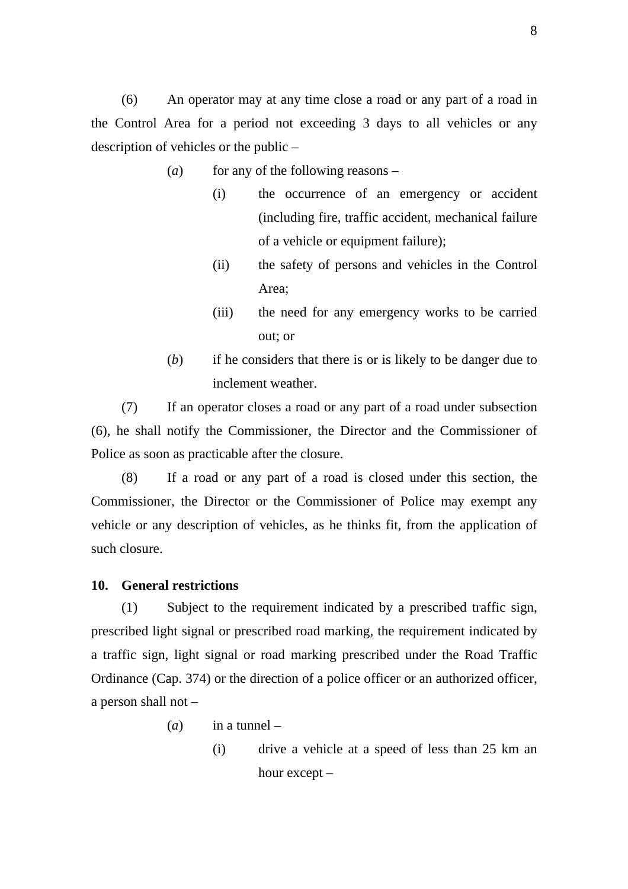(6) An operator may at any time close a road or any part of a road in the Control Area for a period not exceeding 3 days to all vehicles or any description of vehicles or the public –

- (*a*) for any of the following reasons
	- (i) the occurrence of an emergency or accident (including fire, traffic accident, mechanical failure of a vehicle or equipment failure);
	- (ii) the safety of persons and vehicles in the Control Area;
	- (iii) the need for any emergency works to be carried out; or
- (*b*) if he considers that there is or is likely to be danger due to inclement weather.

(7) If an operator closes a road or any part of a road under subsection (6), he shall notify the Commissioner, the Director and the Commissioner of Police as soon as practicable after the closure.

(8) If a road or any part of a road is closed under this section, the Commissioner, the Director or the Commissioner of Police may exempt any vehicle or any description of vehicles, as he thinks fit, from the application of such closure.

#### **10. General restrictions**

(1) Subject to the requirement indicated by a prescribed traffic sign, prescribed light signal or prescribed road marking, the requirement indicated by a traffic sign, light signal or road marking prescribed under the Road Traffic Ordinance (Cap. 374) or the direction of a police officer or an authorized officer, a person shall not –

- (*a*) in a tunnel
	- (i) drive a vehicle at a speed of less than 25 km an hour except –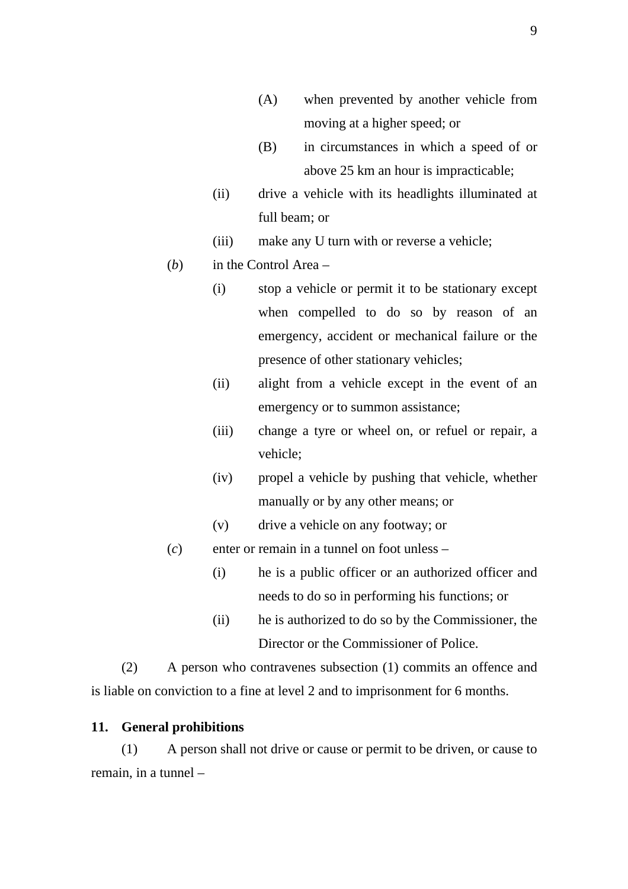- (A) when prevented by another vehicle from moving at a higher speed; or
- (B) in circumstances in which a speed of or above 25 km an hour is impracticable;
- (ii) drive a vehicle with its headlights illuminated at full beam; or
- (iii) make any U turn with or reverse a vehicle;
- (*b*) in the Control Area
	- (i) stop a vehicle or permit it to be stationary except when compelled to do so by reason of an emergency, accident or mechanical failure or the presence of other stationary vehicles;
	- (ii) alight from a vehicle except in the event of an emergency or to summon assistance;
	- (iii) change a tyre or wheel on, or refuel or repair, a vehicle;
	- (iv) propel a vehicle by pushing that vehicle, whether manually or by any other means; or
	- (v) drive a vehicle on any footway; or
- (*c*) enter or remain in a tunnel on foot unless
	- (i) he is a public officer or an authorized officer and needs to do so in performing his functions; or
	- (ii) he is authorized to do so by the Commissioner, the Director or the Commissioner of Police.

(2) A person who contravenes subsection (1) commits an offence and is liable on conviction to a fine at level 2 and to imprisonment for 6 months.

#### **11. General prohibitions**

(1) A person shall not drive or cause or permit to be driven, or cause to remain, in a tunnel –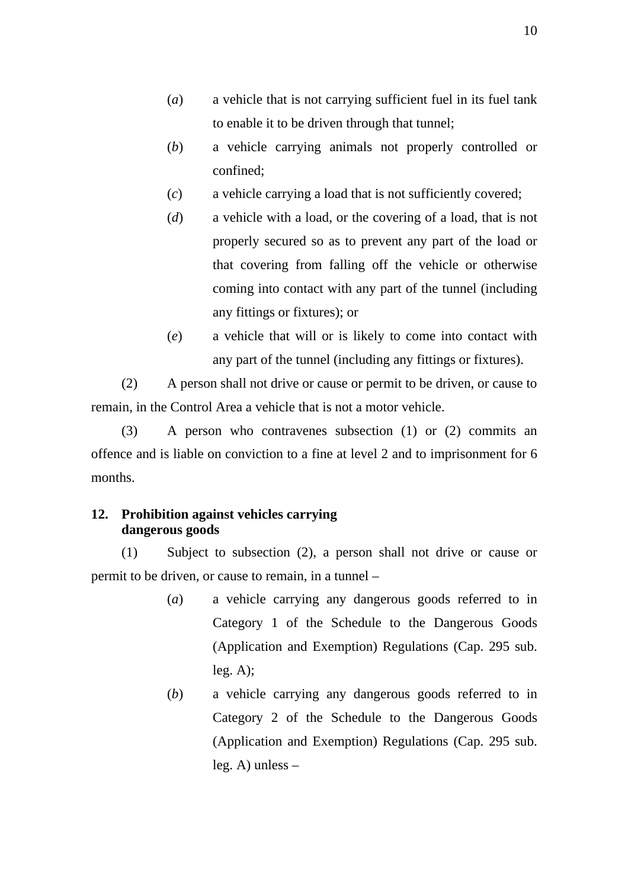- (*a*) a vehicle that is not carrying sufficient fuel in its fuel tank to enable it to be driven through that tunnel;
- (*b*) a vehicle carrying animals not properly controlled or confined;
- (*c*) a vehicle carrying a load that is not sufficiently covered;
- (*d*) a vehicle with a load, or the covering of a load, that is not properly secured so as to prevent any part of the load or that covering from falling off the vehicle or otherwise coming into contact with any part of the tunnel (including any fittings or fixtures); or
- (*e*) a vehicle that will or is likely to come into contact with any part of the tunnel (including any fittings or fixtures).

(2) A person shall not drive or cause or permit to be driven, or cause to remain, in the Control Area a vehicle that is not a motor vehicle.

(3) A person who contravenes subsection (1) or (2) commits an offence and is liable on conviction to a fine at level 2 and to imprisonment for 6 months.

#### **12. Prohibition against vehicles carrying dangerous goods**

(1) Subject to subsection (2), a person shall not drive or cause or permit to be driven, or cause to remain, in a tunnel –

- (*a*) a vehicle carrying any dangerous goods referred to in Category 1 of the Schedule to the Dangerous Goods (Application and Exemption) Regulations (Cap. 295 sub.  $leg. A);$
- (*b*) a vehicle carrying any dangerous goods referred to in Category 2 of the Schedule to the Dangerous Goods (Application and Exemption) Regulations (Cap. 295 sub. leg. A) unless –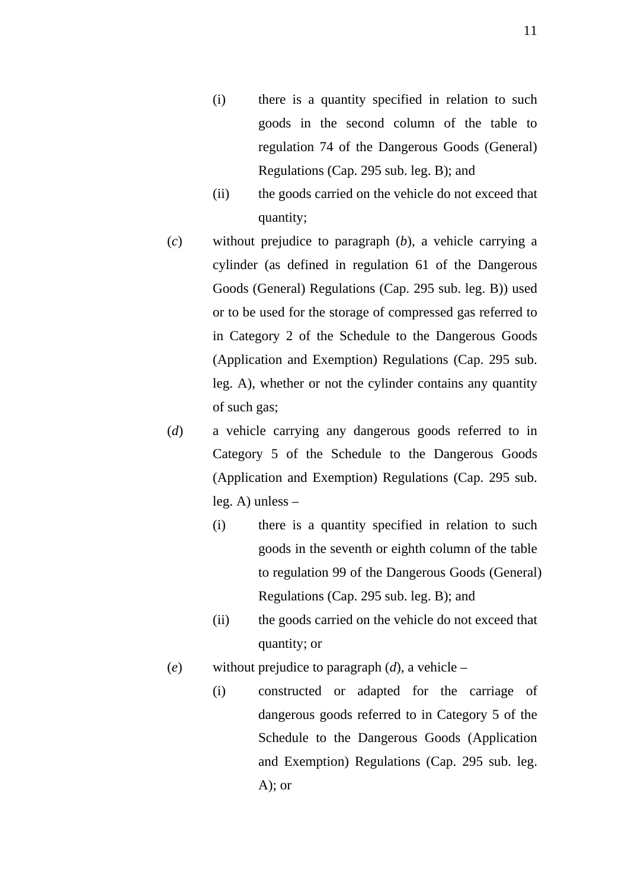- (i) there is a quantity specified in relation to such goods in the second column of the table to regulation 74 of the Dangerous Goods (General) Regulations (Cap. 295 sub. leg. B); and
- (ii) the goods carried on the vehicle do not exceed that quantity;
- (*c*) without prejudice to paragraph (*b*), a vehicle carrying a cylinder (as defined in regulation 61 of the Dangerous Goods (General) Regulations (Cap. 295 sub. leg. B)) used or to be used for the storage of compressed gas referred to in Category 2 of the Schedule to the Dangerous Goods (Application and Exemption) Regulations (Cap. 295 sub. leg. A), whether or not the cylinder contains any quantity of such gas;
- (*d*) a vehicle carrying any dangerous goods referred to in Category 5 of the Schedule to the Dangerous Goods (Application and Exemption) Regulations (Cap. 295 sub. leg. A) unless –
	- (i) there is a quantity specified in relation to such goods in the seventh or eighth column of the table to regulation 99 of the Dangerous Goods (General) Regulations (Cap. 295 sub. leg. B); and
	- (ii) the goods carried on the vehicle do not exceed that quantity; or
- (*e*) without prejudice to paragraph (*d*), a vehicle
	- (i) constructed or adapted for the carriage of dangerous goods referred to in Category 5 of the Schedule to the Dangerous Goods (Application and Exemption) Regulations (Cap. 295 sub. leg.  $A)$ ; or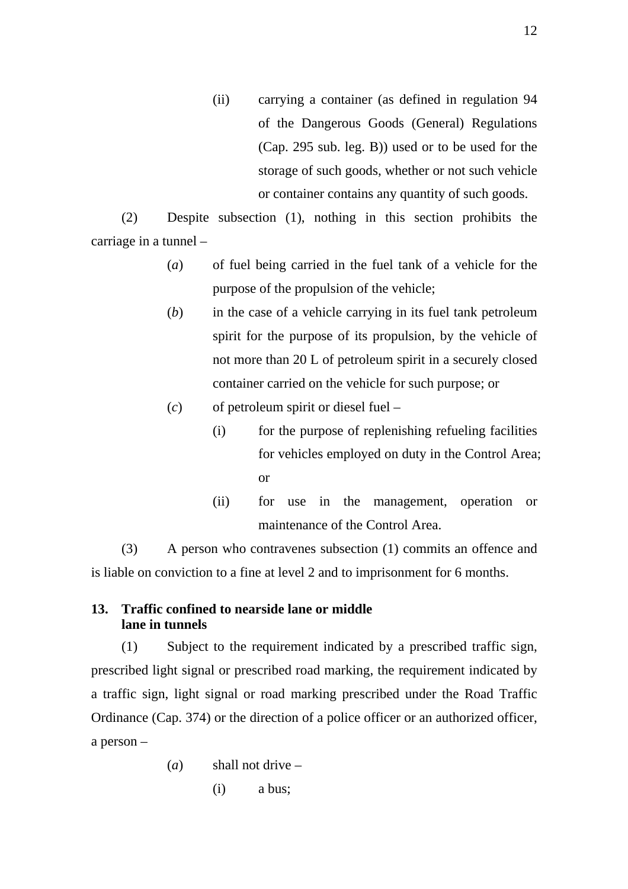(ii) carrying a container (as defined in regulation 94 of the Dangerous Goods (General) Regulations (Cap. 295 sub. leg. B)) used or to be used for the storage of such goods, whether or not such vehicle or container contains any quantity of such goods.

(2) Despite subsection (1), nothing in this section prohibits the carriage in a tunnel –

- (*a*) of fuel being carried in the fuel tank of a vehicle for the purpose of the propulsion of the vehicle;
- (*b*) in the case of a vehicle carrying in its fuel tank petroleum spirit for the purpose of its propulsion, by the vehicle of not more than 20 L of petroleum spirit in a securely closed container carried on the vehicle for such purpose; or
- (*c*) of petroleum spirit or diesel fuel
	- (i) for the purpose of replenishing refueling facilities for vehicles employed on duty in the Control Area; or
	- (ii) for use in the management, operation or maintenance of the Control Area.

(3) A person who contravenes subsection (1) commits an offence and is liable on conviction to a fine at level 2 and to imprisonment for 6 months.

#### **13. Traffic confined to nearside lane or middle lane in tunnels**

(1) Subject to the requirement indicated by a prescribed traffic sign, prescribed light signal or prescribed road marking, the requirement indicated by a traffic sign, light signal or road marking prescribed under the Road Traffic Ordinance (Cap. 374) or the direction of a police officer or an authorized officer, a person –

> (*a*) shall not drive – (i) a bus;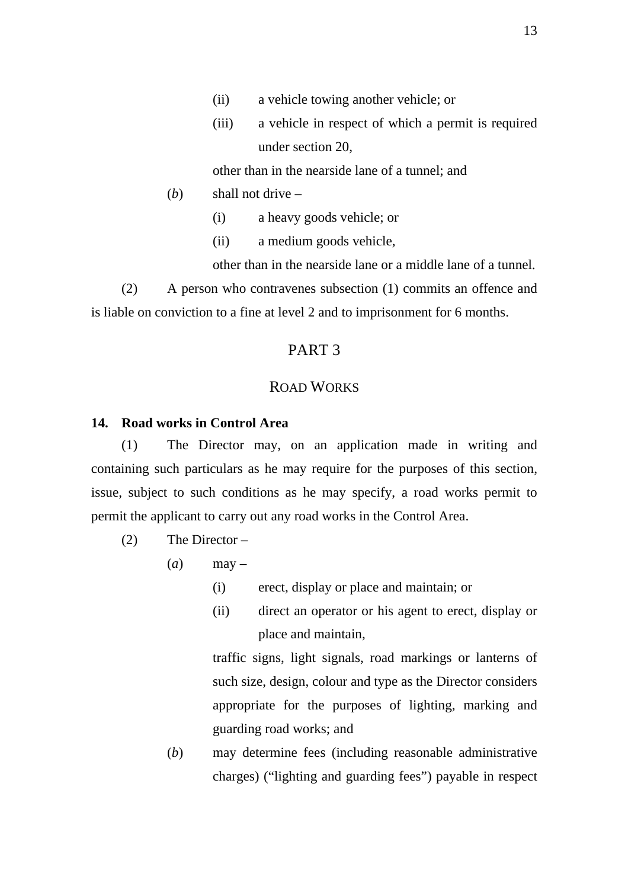- (ii) a vehicle towing another vehicle; or
- (iii) a vehicle in respect of which a permit is required under section 20,

other than in the nearside lane of a tunnel; and

- (*b*) shall not drive
	- (i) a heavy goods vehicle; or
	- (ii) a medium goods vehicle,

other than in the nearside lane or a middle lane of a tunnel.

(2) A person who contravenes subsection (1) commits an offence and is liable on conviction to a fine at level 2 and to imprisonment for 6 months.

#### PART 3

#### ROAD WORKS

#### **14. Road works in Control Area**

(1) The Director may, on an application made in writing and containing such particulars as he may require for the purposes of this section, issue, subject to such conditions as he may specify, a road works permit to permit the applicant to carry out any road works in the Control Area.

- (2) The Director
	- $(a)$  may
		- (i) erect, display or place and maintain; or
		- (ii) direct an operator or his agent to erect, display or place and maintain,

traffic signs, light signals, road markings or lanterns of such size, design, colour and type as the Director considers appropriate for the purposes of lighting, marking and guarding road works; and

(*b*) may determine fees (including reasonable administrative charges) ("lighting and guarding fees") payable in respect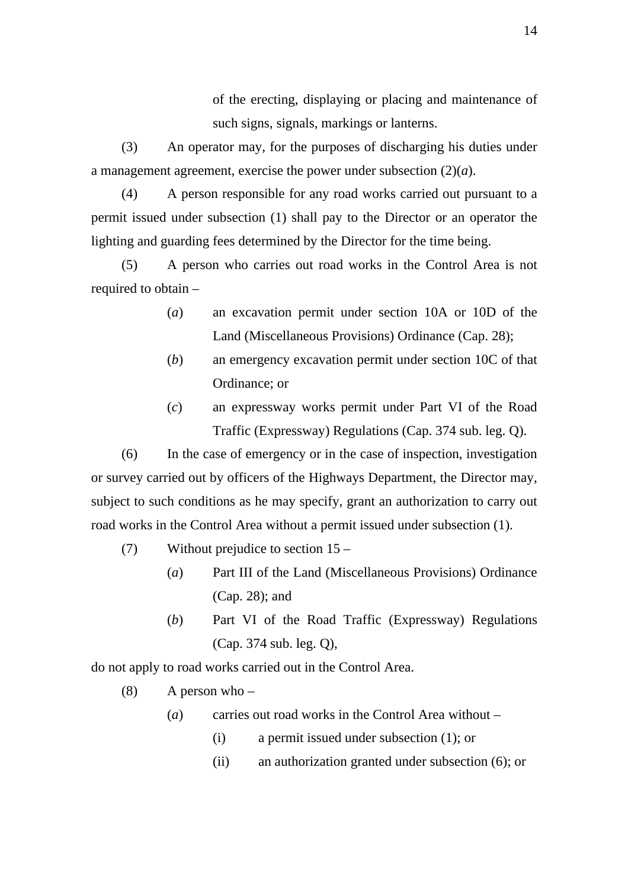of the erecting, displaying or placing and maintenance of such signs, signals, markings or lanterns.

(3) An operator may, for the purposes of discharging his duties under a management agreement, exercise the power under subsection (2)(*a*).

(4) A person responsible for any road works carried out pursuant to a permit issued under subsection (1) shall pay to the Director or an operator the lighting and guarding fees determined by the Director for the time being.

(5) A person who carries out road works in the Control Area is not required to obtain –

- (*a*) an excavation permit under section 10A or 10D of the Land (Miscellaneous Provisions) Ordinance (Cap. 28);
- (*b*) an emergency excavation permit under section 10C of that Ordinance; or
- (*c*) an expressway works permit under Part VI of the Road Traffic (Expressway) Regulations (Cap. 374 sub. leg. Q).

(6) In the case of emergency or in the case of inspection, investigation or survey carried out by officers of the Highways Department, the Director may, subject to such conditions as he may specify, grant an authorization to carry out road works in the Control Area without a permit issued under subsection (1).

- (7) Without prejudice to section 15
	- (*a*) Part III of the Land (Miscellaneous Provisions) Ordinance (Cap. 28); and
	- (*b*) Part VI of the Road Traffic (Expressway) Regulations (Cap. 374 sub. leg. Q),

do not apply to road works carried out in the Control Area.

- (8) A person who  $-$ 
	- (*a*) carries out road works in the Control Area without
		- (i) a permit issued under subsection (1); or
		- (ii) an authorization granted under subsection (6); or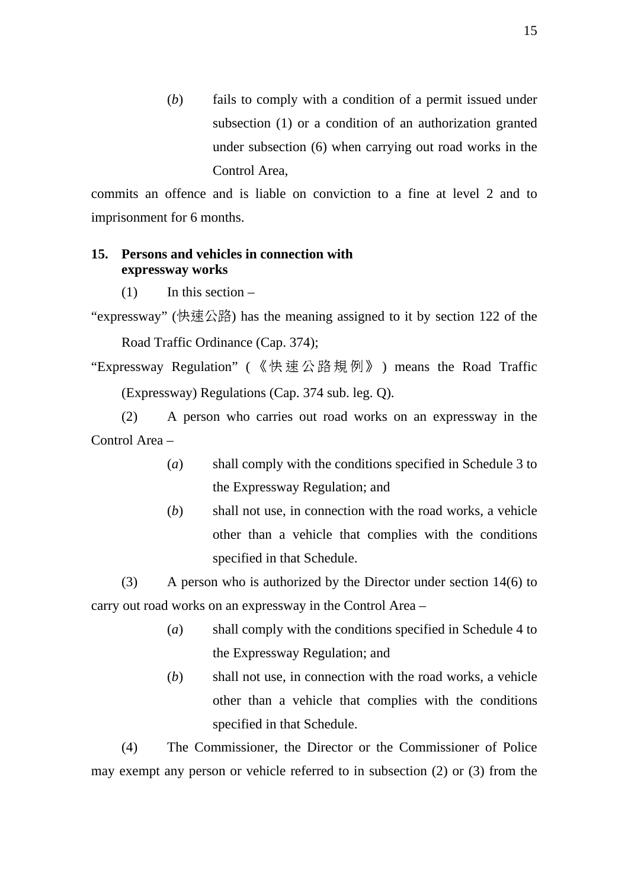(*b*) fails to comply with a condition of a permit issued under subsection (1) or a condition of an authorization granted under subsection (6) when carrying out road works in the Control Area,

commits an offence and is liable on conviction to a fine at level 2 and to imprisonment for 6 months.

#### **15. Persons and vehicles in connection with expressway works**

 $(1)$  In this section –

- "expressway" (快速公路) has the meaning assigned to it by section 122 of the Road Traffic Ordinance (Cap. 374);
- "Expressway Regulation" ( 《快速公路規例》 ) means the Road Traffic (Expressway) Regulations (Cap. 374 sub. leg. Q).

(2) A person who carries out road works on an expressway in the Control Area –

- (*a*) shall comply with the conditions specified in Schedule 3 to the Expressway Regulation; and
- (*b*) shall not use, in connection with the road works, a vehicle other than a vehicle that complies with the conditions specified in that Schedule.

(3) A person who is authorized by the Director under section 14(6) to carry out road works on an expressway in the Control Area –

- (*a*) shall comply with the conditions specified in Schedule 4 to the Expressway Regulation; and
- (*b*) shall not use, in connection with the road works, a vehicle other than a vehicle that complies with the conditions specified in that Schedule.

(4) The Commissioner, the Director or the Commissioner of Police may exempt any person or vehicle referred to in subsection (2) or (3) from the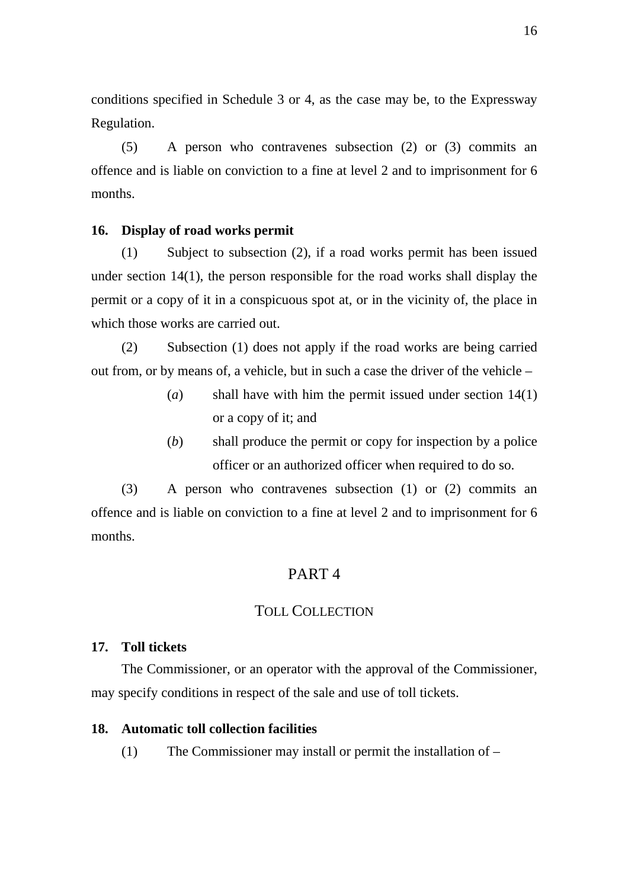conditions specified in Schedule 3 or 4, as the case may be, to the Expressway Regulation.

(5) A person who contravenes subsection (2) or (3) commits an offence and is liable on conviction to a fine at level 2 and to imprisonment for 6 months.

#### **16. Display of road works permit**

(1) Subject to subsection (2), if a road works permit has been issued under section 14(1), the person responsible for the road works shall display the permit or a copy of it in a conspicuous spot at, or in the vicinity of, the place in which those works are carried out.

(2) Subsection (1) does not apply if the road works are being carried out from, or by means of, a vehicle, but in such a case the driver of the vehicle –

- (*a*) shall have with him the permit issued under section 14(1) or a copy of it; and
- (*b*) shall produce the permit or copy for inspection by a police officer or an authorized officer when required to do so.

(3) A person who contravenes subsection (1) or (2) commits an offence and is liable on conviction to a fine at level 2 and to imprisonment for 6 months.

#### PART 4

#### TOLL COLLECTION

#### **17. Toll tickets**

The Commissioner, or an operator with the approval of the Commissioner, may specify conditions in respect of the sale and use of toll tickets.

#### **18. Automatic toll collection facilities**

(1) The Commissioner may install or permit the installation of –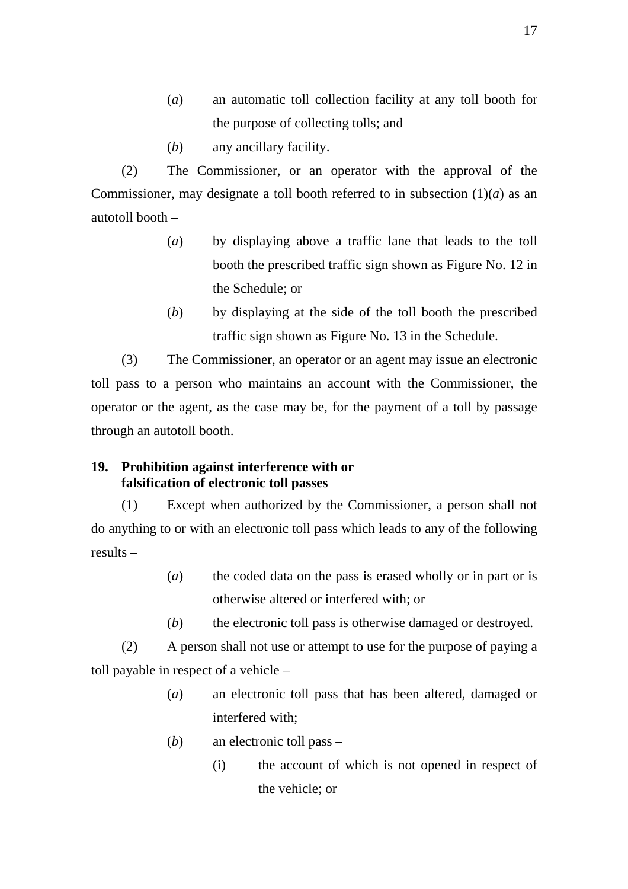- (*a*) an automatic toll collection facility at any toll booth for the purpose of collecting tolls; and
- (*b*) any ancillary facility.

(2) The Commissioner, or an operator with the approval of the Commissioner, may designate a toll booth referred to in subsection  $(1)(a)$  as an autotoll booth –

- (*a*) by displaying above a traffic lane that leads to the toll booth the prescribed traffic sign shown as Figure No. 12 in the Schedule; or
- (*b*) by displaying at the side of the toll booth the prescribed traffic sign shown as Figure No. 13 in the Schedule.

(3) The Commissioner, an operator or an agent may issue an electronic toll pass to a person who maintains an account with the Commissioner, the operator or the agent, as the case may be, for the payment of a toll by passage through an autotoll booth.

#### **19. Prohibition against interference with or falsification of electronic toll passes**

(1) Except when authorized by the Commissioner, a person shall not do anything to or with an electronic toll pass which leads to any of the following results –

- (*a*) the coded data on the pass is erased wholly or in part or is otherwise altered or interfered with; or
- (*b*) the electronic toll pass is otherwise damaged or destroyed.

(2) A person shall not use or attempt to use for the purpose of paying a toll payable in respect of a vehicle –

- (*a*) an electronic toll pass that has been altered, damaged or interfered with;
- (*b*) an electronic toll pass
	- (i) the account of which is not opened in respect of the vehicle; or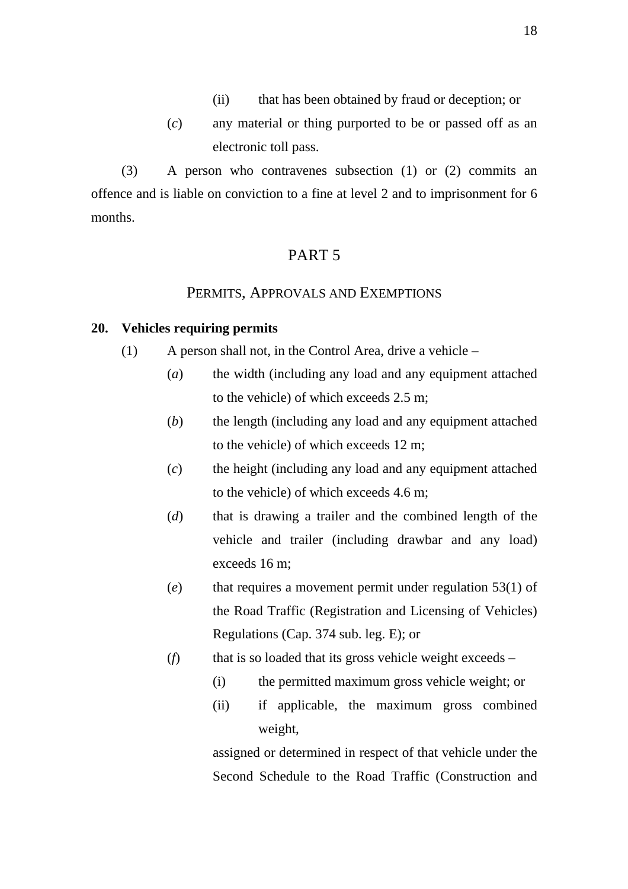- (ii) that has been obtained by fraud or deception; or
- (*c*) any material or thing purported to be or passed off as an electronic toll pass.

(3) A person who contravenes subsection (1) or (2) commits an offence and is liable on conviction to a fine at level 2 and to imprisonment for 6 months.

# PART 5

#### PERMITS, APPROVALS AND EXEMPTIONS

#### **20. Vehicles requiring permits**

- (1) A person shall not, in the Control Area, drive a vehicle  $-$ 
	- (*a*) the width (including any load and any equipment attached to the vehicle) of which exceeds 2.5 m;
	- (*b*) the length (including any load and any equipment attached to the vehicle) of which exceeds 12 m;
	- (*c*) the height (including any load and any equipment attached to the vehicle) of which exceeds 4.6 m;
	- (*d*) that is drawing a trailer and the combined length of the vehicle and trailer (including drawbar and any load) exceeds 16 m;
	- (*e*) that requires a movement permit under regulation 53(1) of the Road Traffic (Registration and Licensing of Vehicles) Regulations (Cap. 374 sub. leg. E); or
	- (*f*) that is so loaded that its gross vehicle weight exceeds
		- (i) the permitted maximum gross vehicle weight; or
		- (ii) if applicable, the maximum gross combined weight,

assigned or determined in respect of that vehicle under the Second Schedule to the Road Traffic (Construction and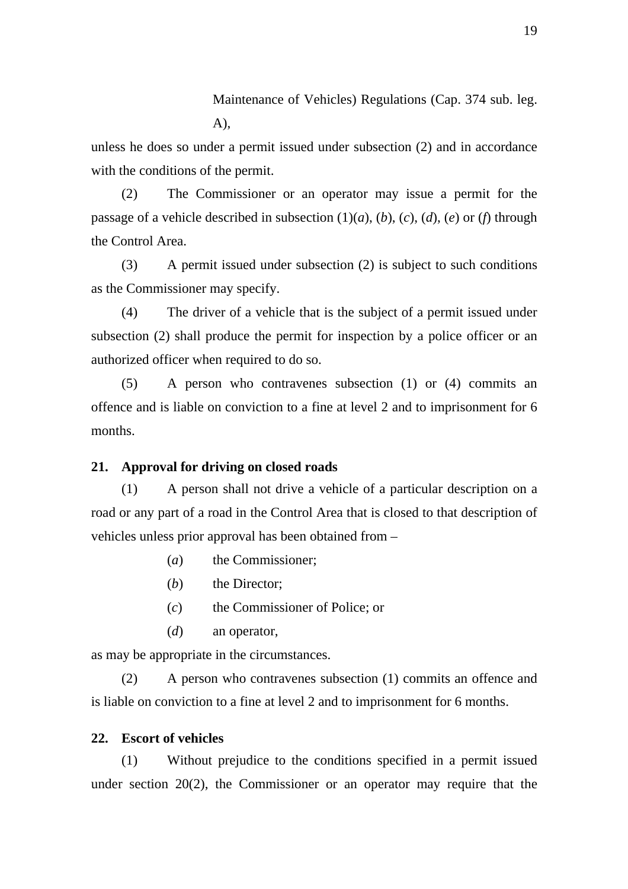Maintenance of Vehicles) Regulations (Cap. 374 sub. leg.  $A)$ .

unless he does so under a permit issued under subsection (2) and in accordance with the conditions of the permit.

(2) The Commissioner or an operator may issue a permit for the passage of a vehicle described in subsection (1)(*a*), (*b*), (*c*), (*d*), (*e*) or (*f*) through the Control Area.

(3) A permit issued under subsection (2) is subject to such conditions as the Commissioner may specify.

(4) The driver of a vehicle that is the subject of a permit issued under subsection (2) shall produce the permit for inspection by a police officer or an authorized officer when required to do so.

(5) A person who contravenes subsection (1) or (4) commits an offence and is liable on conviction to a fine at level 2 and to imprisonment for 6 months.

#### **21. Approval for driving on closed roads**

(1) A person shall not drive a vehicle of a particular description on a road or any part of a road in the Control Area that is closed to that description of vehicles unless prior approval has been obtained from –

- (*a*) the Commissioner;
- (*b*) the Director:
- (*c*) the Commissioner of Police; or
- (*d*) an operator,

as may be appropriate in the circumstances.

(2) A person who contravenes subsection (1) commits an offence and is liable on conviction to a fine at level 2 and to imprisonment for 6 months.

#### **22. Escort of vehicles**

(1) Without prejudice to the conditions specified in a permit issued under section 20(2), the Commissioner or an operator may require that the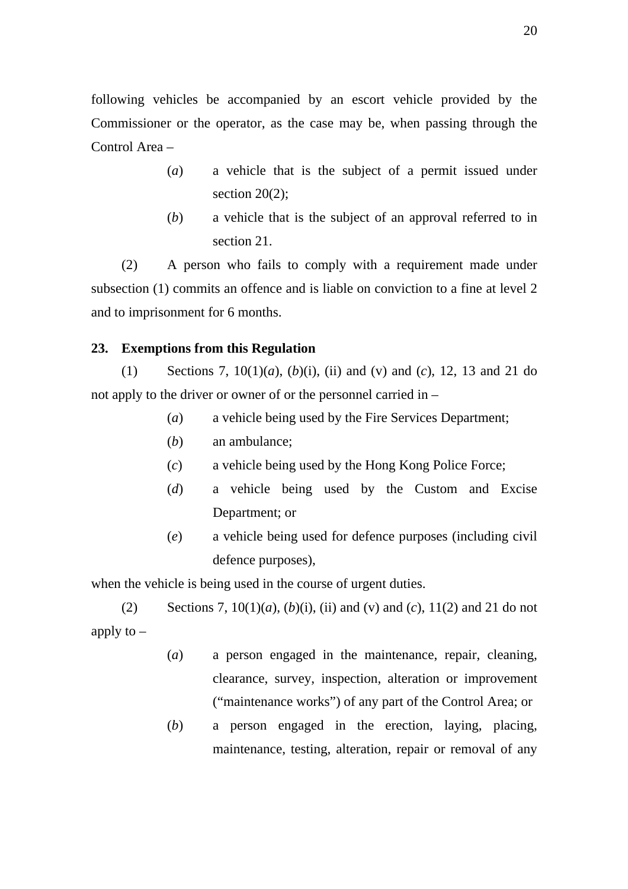following vehicles be accompanied by an escort vehicle provided by the Commissioner or the operator, as the case may be, when passing through the Control Area –

- (*a*) a vehicle that is the subject of a permit issued under section  $20(2)$ ;
- (*b*) a vehicle that is the subject of an approval referred to in section 21.

(2) A person who fails to comply with a requirement made under subsection (1) commits an offence and is liable on conviction to a fine at level 2 and to imprisonment for 6 months.

#### **23. Exemptions from this Regulation**

(1) Sections 7, 10(1)(*a*), (*b*)(i), (ii) and (v) and (*c*), 12, 13 and 21 do not apply to the driver or owner of or the personnel carried in –

- (*a*) a vehicle being used by the Fire Services Department;
- (*b*) an ambulance;
- (*c*) a vehicle being used by the Hong Kong Police Force;
- (*d*) a vehicle being used by the Custom and Excise Department; or
- (*e*) a vehicle being used for defence purposes (including civil defence purposes),

when the vehicle is being used in the course of urgent duties.

(2) Sections 7,  $10(1)(a)$ ,  $(b)(i)$ , (ii) and (v) and (c),  $11(2)$  and 21 do not apply to  $-$ 

- (*a*) a person engaged in the maintenance, repair, cleaning, clearance, survey, inspection, alteration or improvement ("maintenance works") of any part of the Control Area; or
- (*b*) a person engaged in the erection, laying, placing, maintenance, testing, alteration, repair or removal of any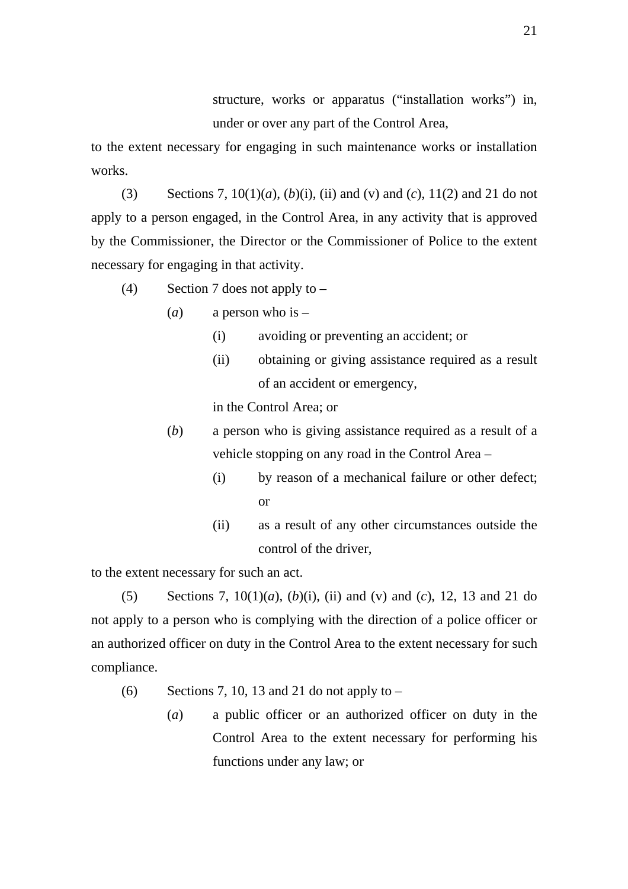structure, works or apparatus ("installation works") in, under or over any part of the Control Area,

to the extent necessary for engaging in such maintenance works or installation works.

(3) Sections 7,  $10(1)(a)$ ,  $(b)(i)$ , (ii) and (v) and (c),  $11(2)$  and 21 do not apply to a person engaged, in the Control Area, in any activity that is approved by the Commissioner, the Director or the Commissioner of Police to the extent necessary for engaging in that activity.

(4) Section 7 does not apply to –

- (*a*) a person who is
	- (i) avoiding or preventing an accident; or
	- (ii) obtaining or giving assistance required as a result of an accident or emergency,

in the Control Area; or

- (*b*) a person who is giving assistance required as a result of a vehicle stopping on any road in the Control Area –
	- (i) by reason of a mechanical failure or other defect; or
	- (ii) as a result of any other circumstances outside the control of the driver,

to the extent necessary for such an act.

(5) Sections 7, 10(1)(*a*), (*b*)(i), (ii) and (v) and (*c*), 12, 13 and 21 do not apply to a person who is complying with the direction of a police officer or an authorized officer on duty in the Control Area to the extent necessary for such compliance.

- (6) Sections 7, 10, 13 and 21 do not apply to  $-$ 
	- (*a*) a public officer or an authorized officer on duty in the Control Area to the extent necessary for performing his functions under any law; or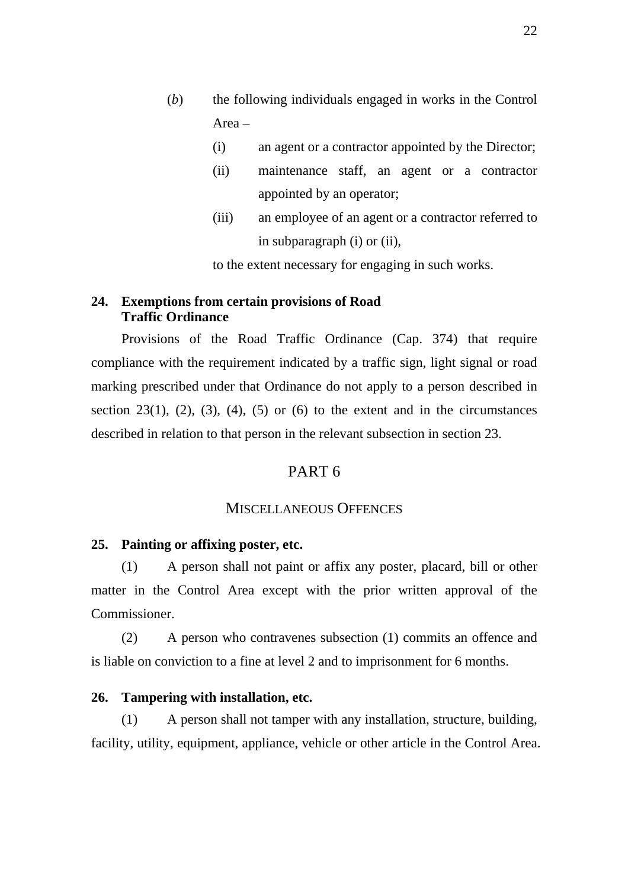- (*b*) the following individuals engaged in works in the Control Area –
	- (i) an agent or a contractor appointed by the Director;
	- (ii) maintenance staff, an agent or a contractor appointed by an operator;
	- (iii) an employee of an agent or a contractor referred to in subparagraph (i) or (ii),

to the extent necessary for engaging in such works.

#### **24. Exemptions from certain provisions of Road Traffic Ordinance**

Provisions of the Road Traffic Ordinance (Cap. 374) that require compliance with the requirement indicated by a traffic sign, light signal or road marking prescribed under that Ordinance do not apply to a person described in section 23(1), (2), (3), (4), (5) or (6) to the extent and in the circumstances described in relation to that person in the relevant subsection in section 23.

#### PART 6

#### MISCELLANEOUS OFFENCES

#### **25. Painting or affixing poster, etc.**

(1) A person shall not paint or affix any poster, placard, bill or other matter in the Control Area except with the prior written approval of the Commissioner.

(2) A person who contravenes subsection (1) commits an offence and is liable on conviction to a fine at level 2 and to imprisonment for 6 months.

#### **26. Tampering with installation, etc.**

(1) A person shall not tamper with any installation, structure, building, facility, utility, equipment, appliance, vehicle or other article in the Control Area.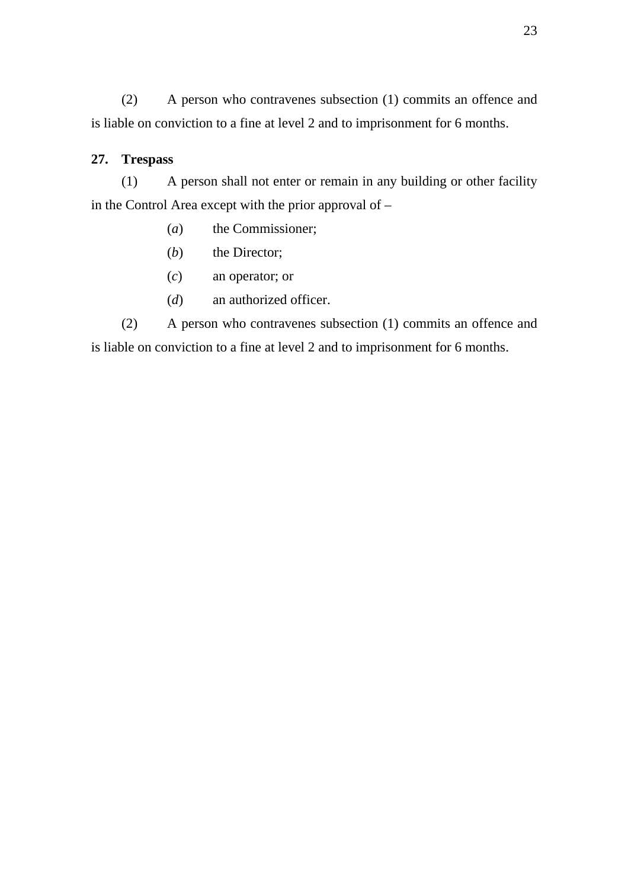(2) A person who contravenes subsection (1) commits an offence and is liable on conviction to a fine at level 2 and to imprisonment for 6 months.

# **27. Trespass**

(1) A person shall not enter or remain in any building or other facility in the Control Area except with the prior approval of  $-$ 

- (*a*) the Commissioner;
- (*b*) the Director;
- (*c*) an operator; or
- (*d*) an authorized officer.

(2) A person who contravenes subsection (1) commits an offence and is liable on conviction to a fine at level 2 and to imprisonment for 6 months.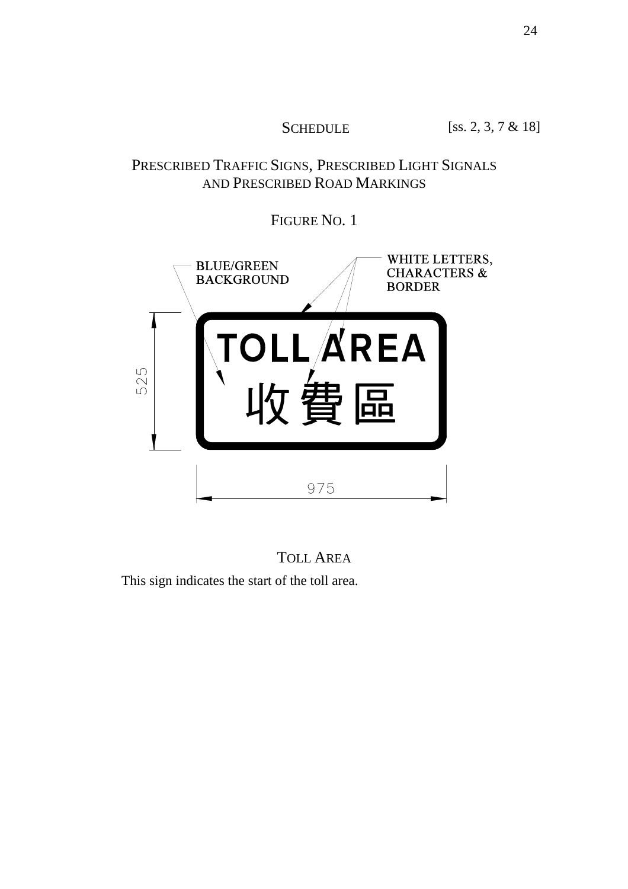SCHEDULE [ss. 2, 3, 7 & 18]

# PRESCRIBED TRAFFIC SIGNS, PRESCRIBED LIGHT SIGNALS AND PRESCRIBED ROAD MARKINGS

FIGURE NO. 1



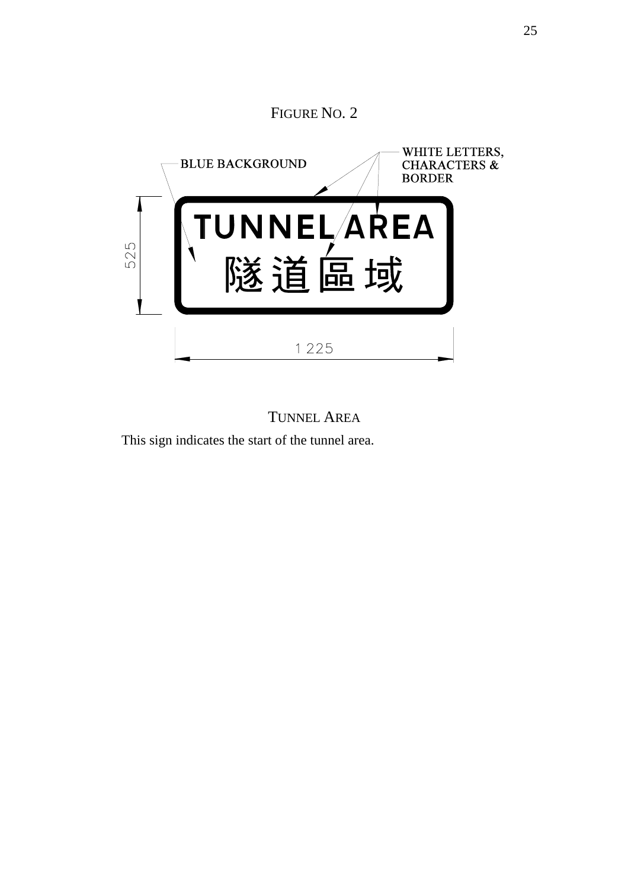# FIGURE NO. 2 WHITE LETTERS, **BLUE BACKGROUND CHARACTERS & BORDER** UNNELAREA 525 隧 區  $\blacksquare$ 1 2 2 5

# TUNNEL AREA This sign indicates the start of the tunnel area.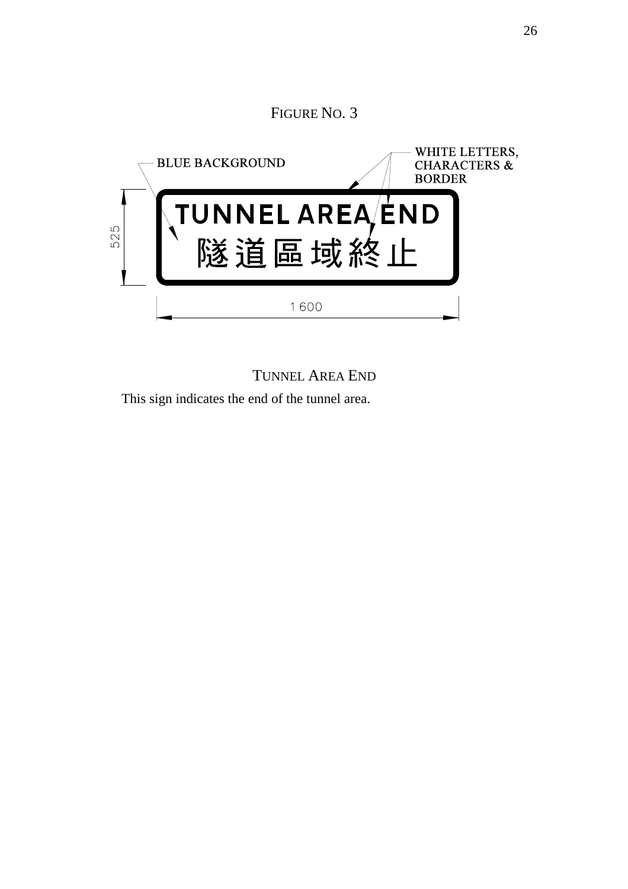# FIGURE NO. 3 WHITE LETTERS, **BLUE BACKGROUND CHARACTERS & BORDER** UNNEL AREA<sup>/</sup>END<br>隧道區域終止 525 1600

TUNNEL AREA END

This sign indicates the end of the tunnel area.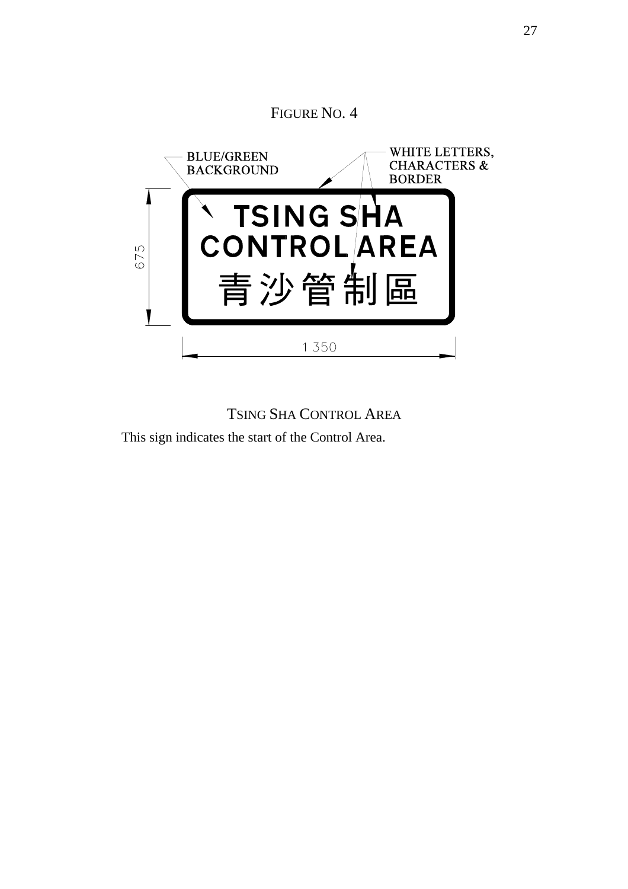# WHITE LETTERS, **BLUE/GREEN CHARACTERS & BACKGROUND BORDER** NTSING SHANG<br>CONTROLAREA 675 青沙管制 區 1 350

TSING SHA CONTROL AREA This sign indicates the start of the Control Area.

# FIGURE NO. 4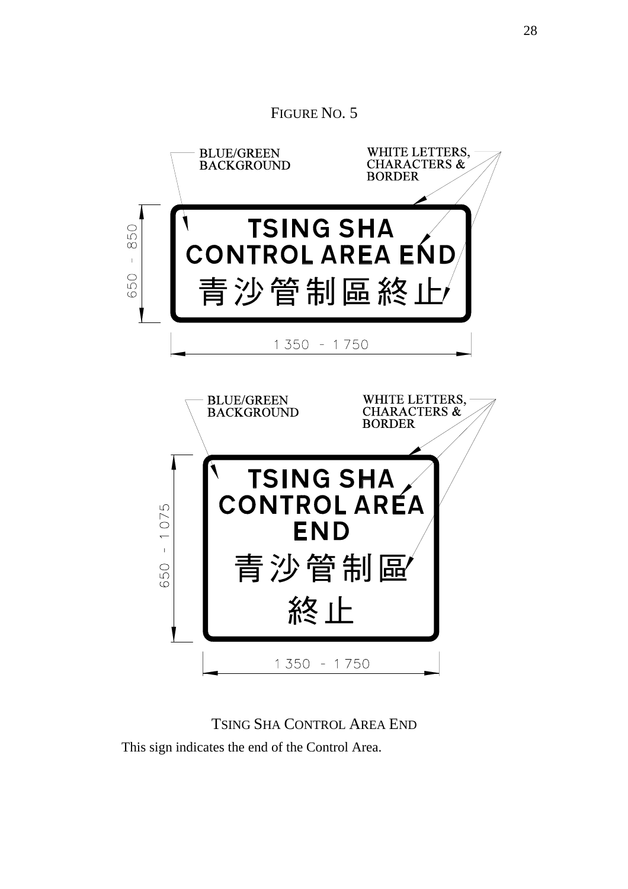

# TSING SHA CONTROL AREA END

This sign indicates the end of the Control Area.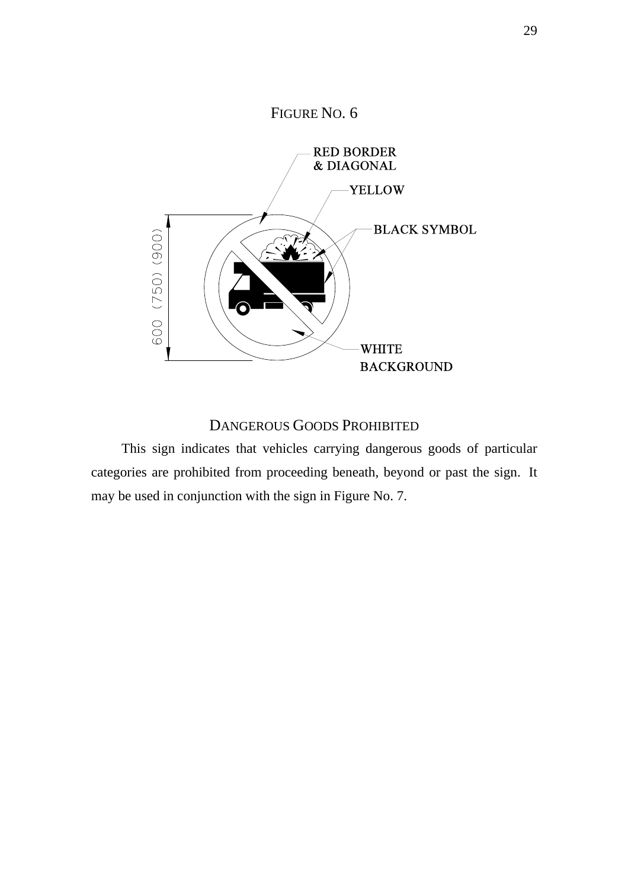

# DANGEROUS GOODS PROHIBITED

This sign indicates that vehicles carrying dangerous goods of particular categories are prohibited from proceeding beneath, beyond or past the sign. It may be used in conjunction with the sign in Figure No. 7.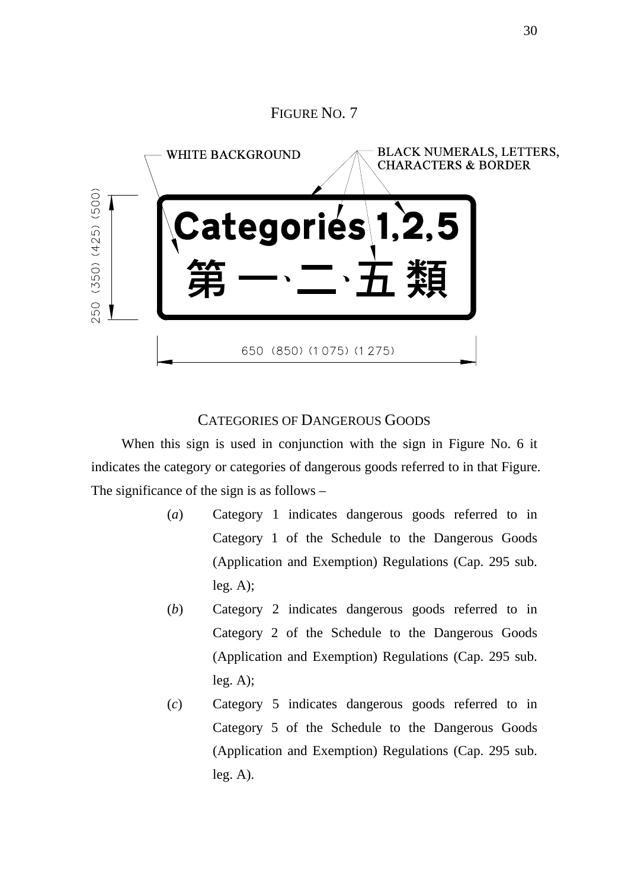# FIGURE NO. 7 **BLACK NUMERALS, LETTERS, WHITE BACKGROUND CHARACTERS & BORDER** 250 (350) (425) (500)  $\bullet$ 650 (850) (1075) (1275)

# CATEGORIES OF DANGEROUS GOODS

When this sign is used in conjunction with the sign in Figure No. 6 it indicates the category or categories of dangerous goods referred to in that Figure. The significance of the sign is as follows –

- (*a*) Category 1 indicates dangerous goods referred to in Category 1 of the Schedule to the Dangerous Goods (Application and Exemption) Regulations (Cap. 295 sub.  $leg. A);$
- (*b*) Category 2 indicates dangerous goods referred to in Category 2 of the Schedule to the Dangerous Goods (Application and Exemption) Regulations (Cap. 295 sub. leg. A);
- (*c*) Category 5 indicates dangerous goods referred to in Category 5 of the Schedule to the Dangerous Goods (Application and Exemption) Regulations (Cap. 295 sub. leg. A).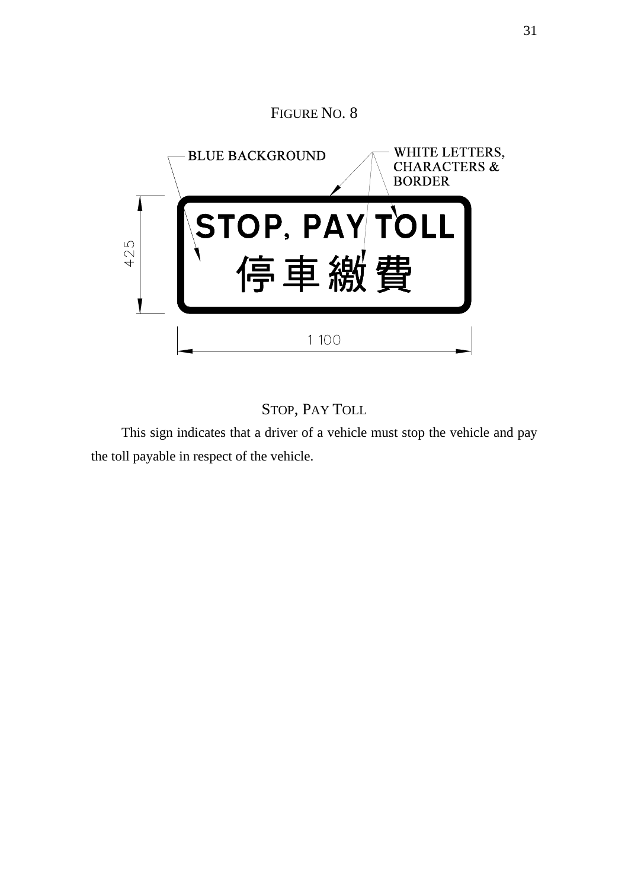

# STOP, PAY TOLL

This sign indicates that a driver of a vehicle must stop the vehicle and pay the toll payable in respect of the vehicle.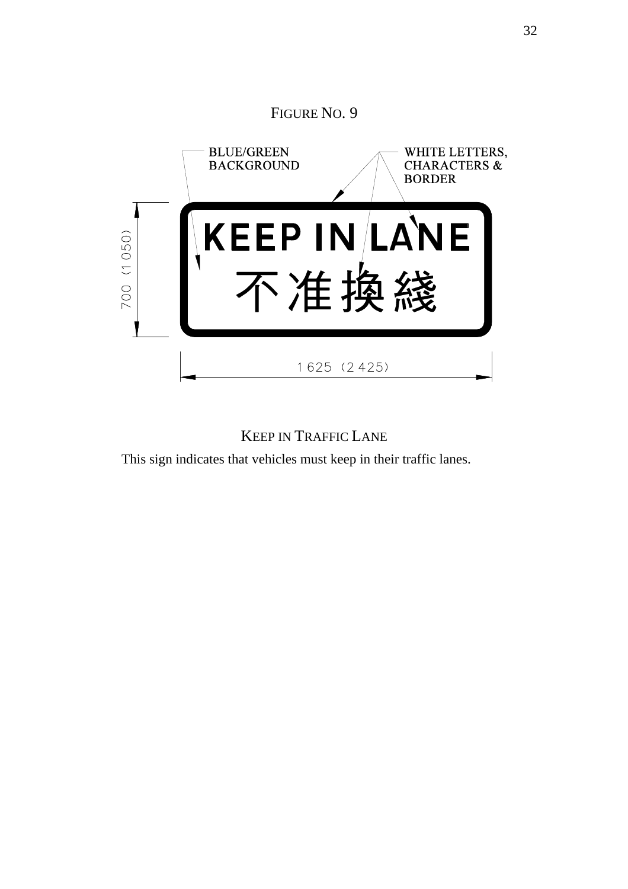

# KEEP IN TRAFFIC LANE

This sign indicates that vehicles must keep in their traffic lanes.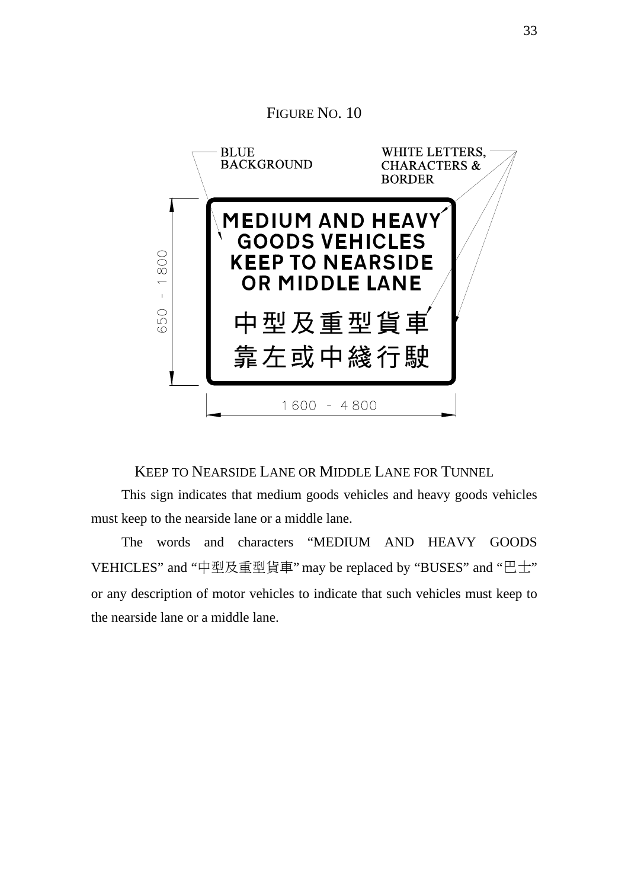

KEEP TO NEARSIDE LANE OR MIDDLE LANE FOR TUNNEL

This sign indicates that medium goods vehicles and heavy goods vehicles must keep to the nearside lane or a middle lane.

The words and characters "MEDIUM AND HEAVY GOODS VEHICLES" and "中型及重型貨車" may be replaced by "BUSES" and "巴士" or any description of motor vehicles to indicate that such vehicles must keep to the nearside lane or a middle lane.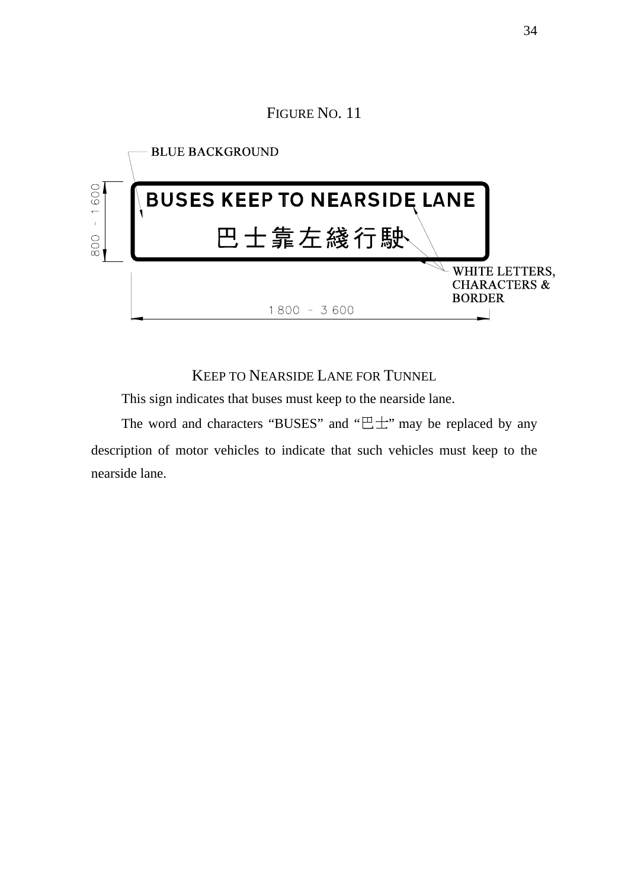FIGURE NO. 11



#### KEEP TO NEARSIDE LANE FOR TUNNEL

This sign indicates that buses must keep to the nearside lane.

The word and characters "BUSES" and " $E^+$ " may be replaced by any description of motor vehicles to indicate that such vehicles must keep to the nearside lane.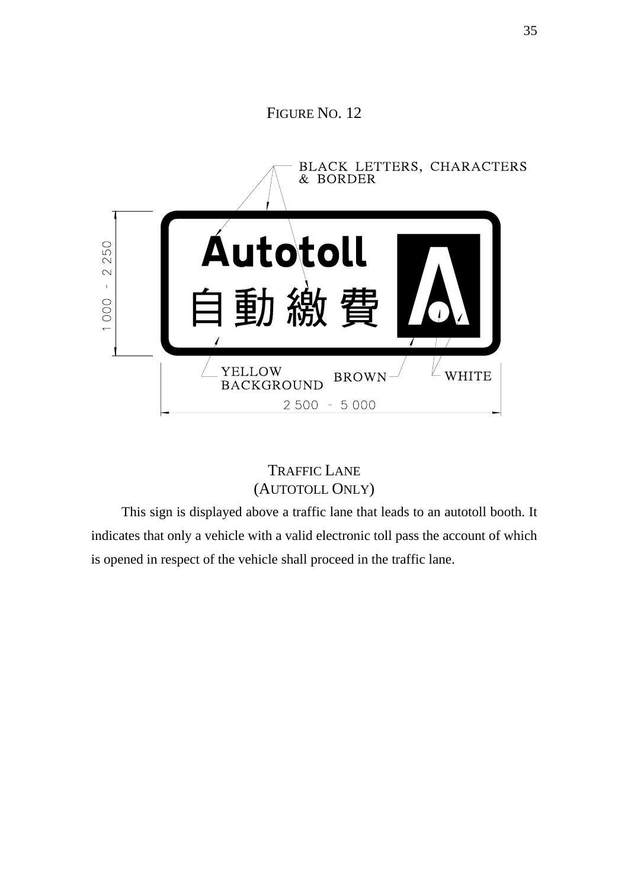# FIGURE NO. 12



# TRAFFIC LANE (AUTOTOLL ONLY)

This sign is displayed above a traffic lane that leads to an autotoll booth. It indicates that only a vehicle with a valid electronic toll pass the account of which is opened in respect of the vehicle shall proceed in the traffic lane.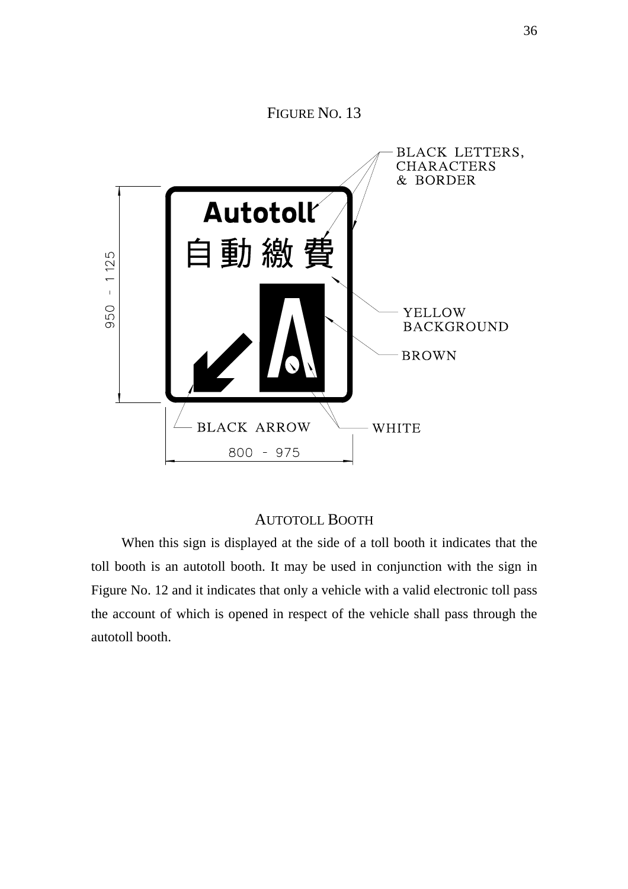#### FIGURE NO. 13



#### AUTOTOLL BOOTH

When this sign is displayed at the side of a toll booth it indicates that the toll booth is an autotoll booth. It may be used in conjunction with the sign in Figure No. 12 and it indicates that only a vehicle with a valid electronic toll pass the account of which is opened in respect of the vehicle shall pass through the autotoll booth.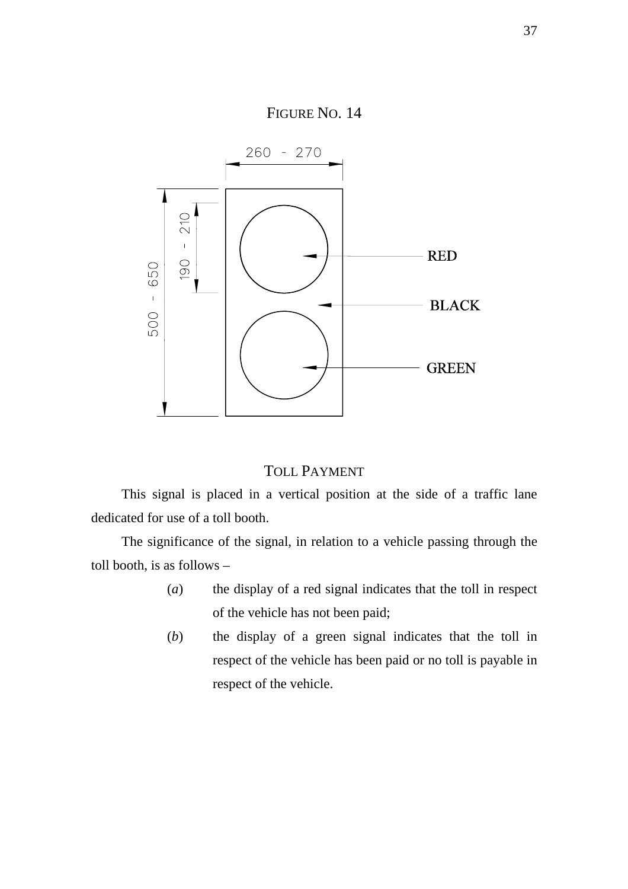

#### TOLL PAYMENT

This signal is placed in a vertical position at the side of a traffic lane dedicated for use of a toll booth.

The significance of the signal, in relation to a vehicle passing through the toll booth, is as follows –

- (*a*) the display of a red signal indicates that the toll in respect of the vehicle has not been paid;
- (*b*) the display of a green signal indicates that the toll in respect of the vehicle has been paid or no toll is payable in respect of the vehicle.

37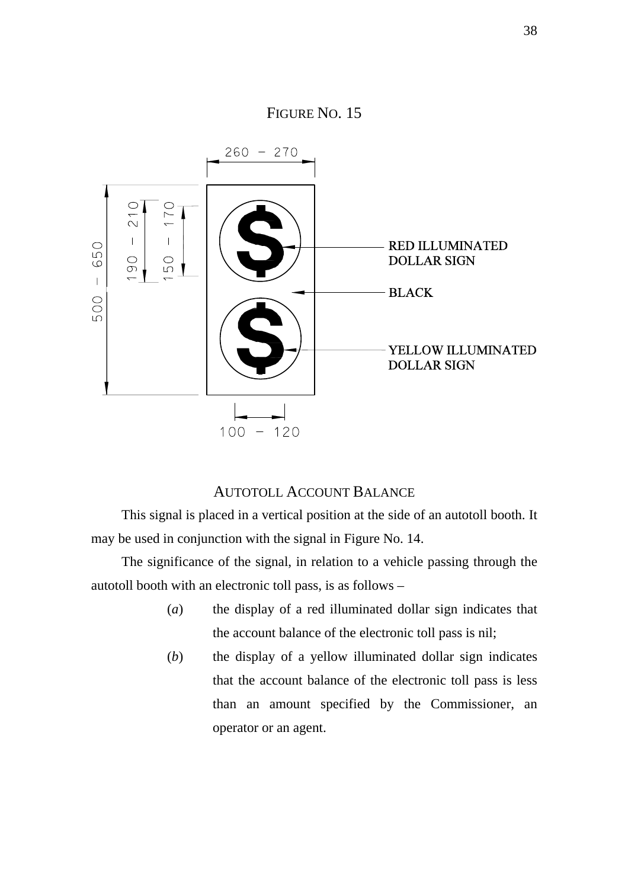

#### AUTOTOLL ACCOUNT BALANCE

This signal is placed in a vertical position at the side of an autotoll booth. It may be used in conjunction with the signal in Figure No. 14.

The significance of the signal, in relation to a vehicle passing through the autotoll booth with an electronic toll pass, is as follows –

- (*a*) the display of a red illuminated dollar sign indicates that the account balance of the electronic toll pass is nil;
- (*b*) the display of a yellow illuminated dollar sign indicates that the account balance of the electronic toll pass is less than an amount specified by the Commissioner, an operator or an agent.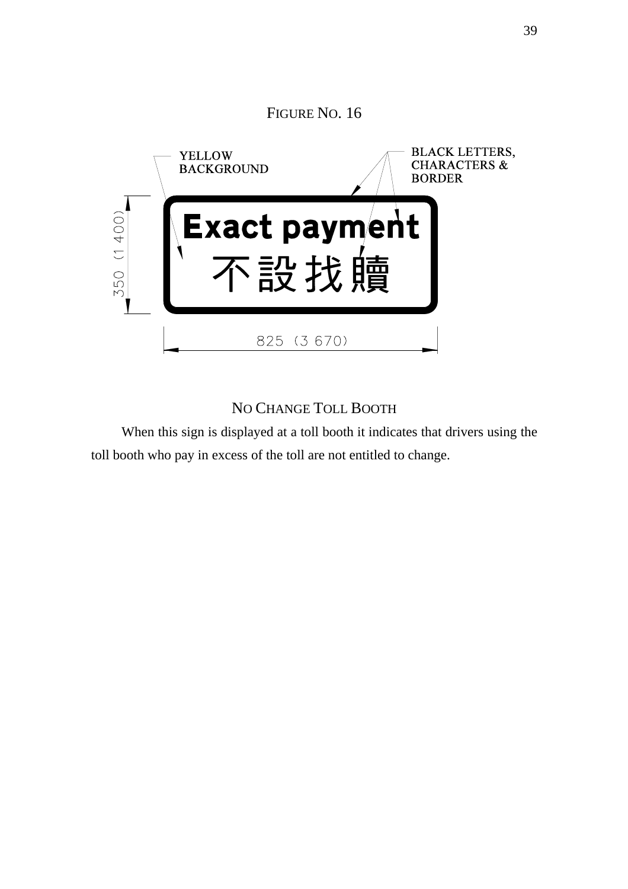

# NO CHANGE TOLL BOOTH

When this sign is displayed at a toll booth it indicates that drivers using the toll booth who pay in excess of the toll are not entitled to change.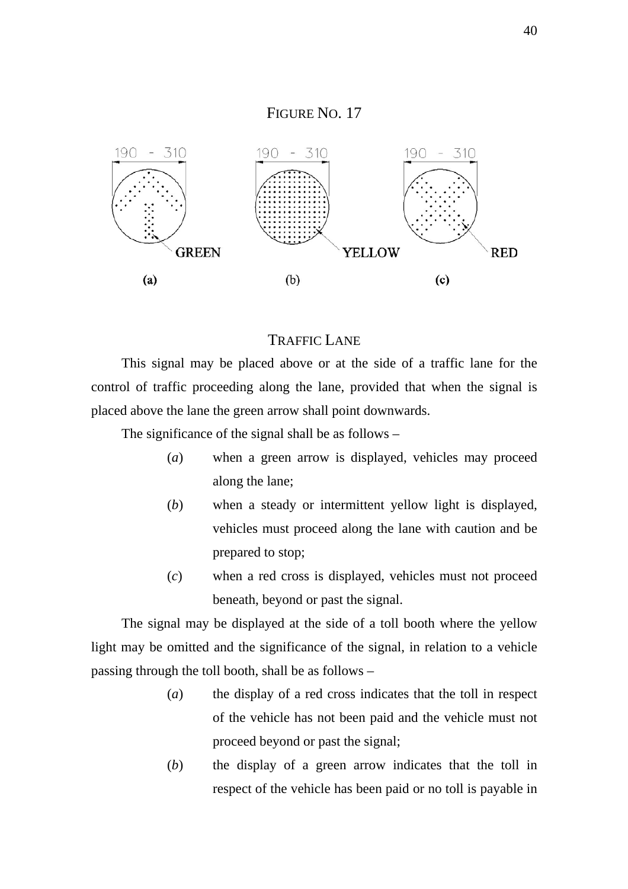



#### TRAFFIC LANE

This signal may be placed above or at the side of a traffic lane for the control of traffic proceeding along the lane, provided that when the signal is placed above the lane the green arrow shall point downwards.

The significance of the signal shall be as follows –

- (*a*) when a green arrow is displayed, vehicles may proceed along the lane;
- (*b*) when a steady or intermittent yellow light is displayed, vehicles must proceed along the lane with caution and be prepared to stop;
- (*c*) when a red cross is displayed, vehicles must not proceed beneath, beyond or past the signal.

The signal may be displayed at the side of a toll booth where the yellow light may be omitted and the significance of the signal, in relation to a vehicle passing through the toll booth, shall be as follows –

- (*a*) the display of a red cross indicates that the toll in respect of the vehicle has not been paid and the vehicle must not proceed beyond or past the signal;
- (*b*) the display of a green arrow indicates that the toll in respect of the vehicle has been paid or no toll is payable in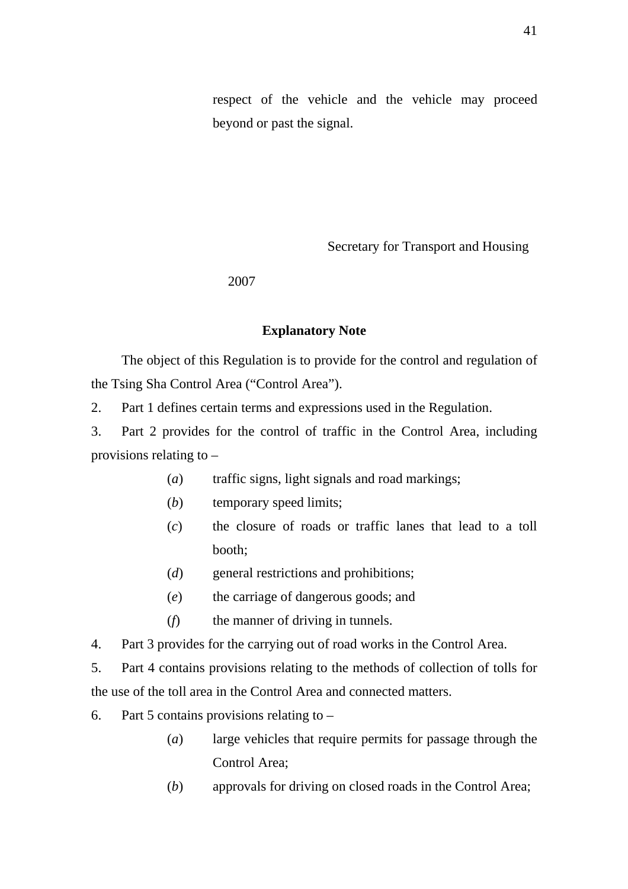respect of the vehicle and the vehicle may proceed beyond or past the signal.

Secretary for Transport and Housing

#### 2007

#### **Explanatory Note**

The object of this Regulation is to provide for the control and regulation of the Tsing Sha Control Area ("Control Area").

2. Part 1 defines certain terms and expressions used in the Regulation.

3. Part 2 provides for the control of traffic in the Control Area, including provisions relating to –

- (*a*) traffic signs, light signals and road markings;
- (*b*) temporary speed limits;
- (*c*) the closure of roads or traffic lanes that lead to a toll booth;
- (*d*) general restrictions and prohibitions;
- (*e*) the carriage of dangerous goods; and
- (*f*) the manner of driving in tunnels.
- 4. Part 3 provides for the carrying out of road works in the Control Area.

5. Part 4 contains provisions relating to the methods of collection of tolls for the use of the toll area in the Control Area and connected matters.

- 6. Part 5 contains provisions relating to  $-$ 
	- (*a*) large vehicles that require permits for passage through the Control Area;
	- (*b*) approvals for driving on closed roads in the Control Area;